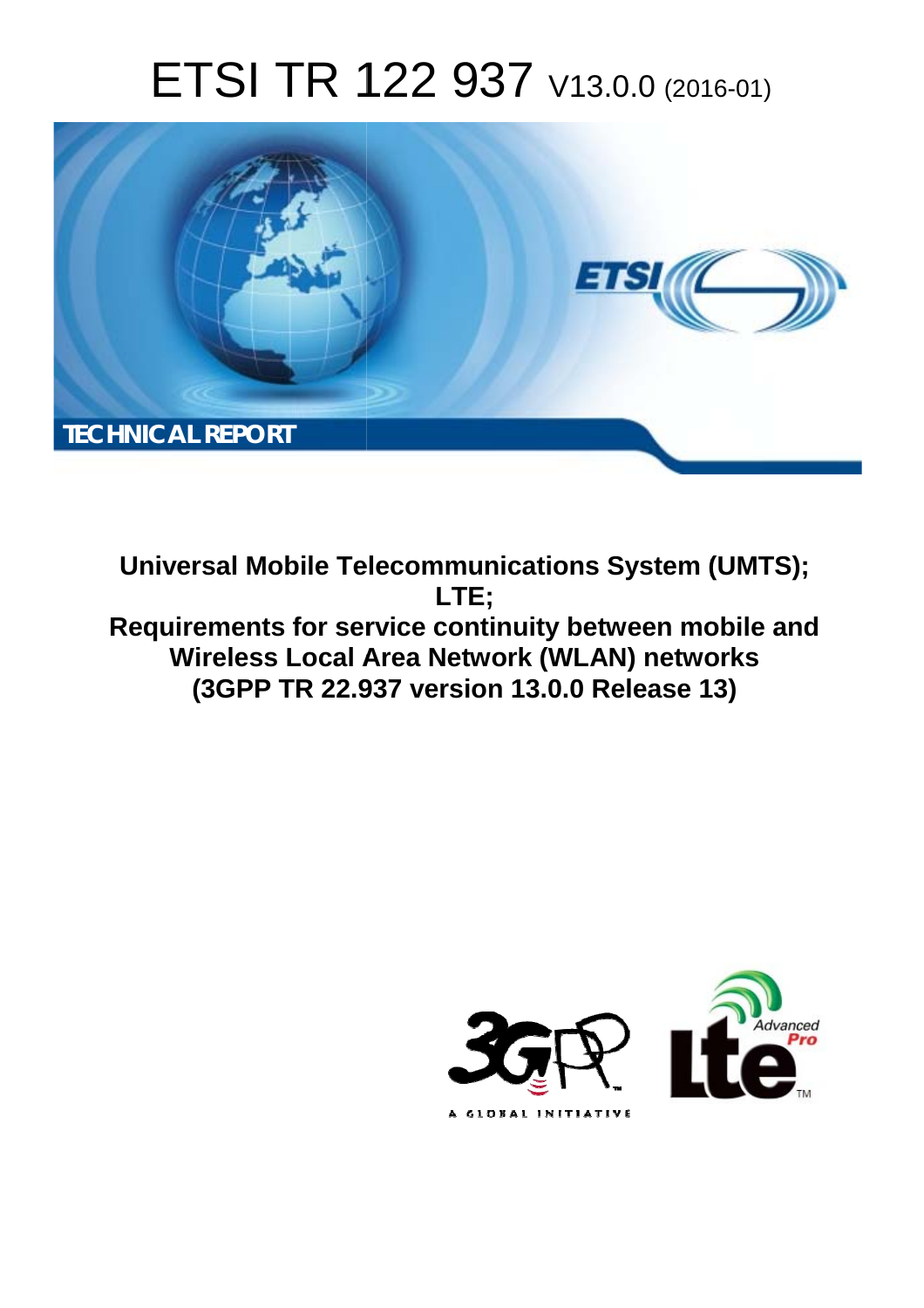# ETSI TR 122 937 V13.0.0 (2016-01)



**Universal Mobile Tel elecommunications System ( (UMTS); Requirements for service continuity between mobile and** Wireless Local Area Network (WLAN) networks **(3GPP TR 22.9 .937 version 13.0.0 Release 13 13) LTE;** 

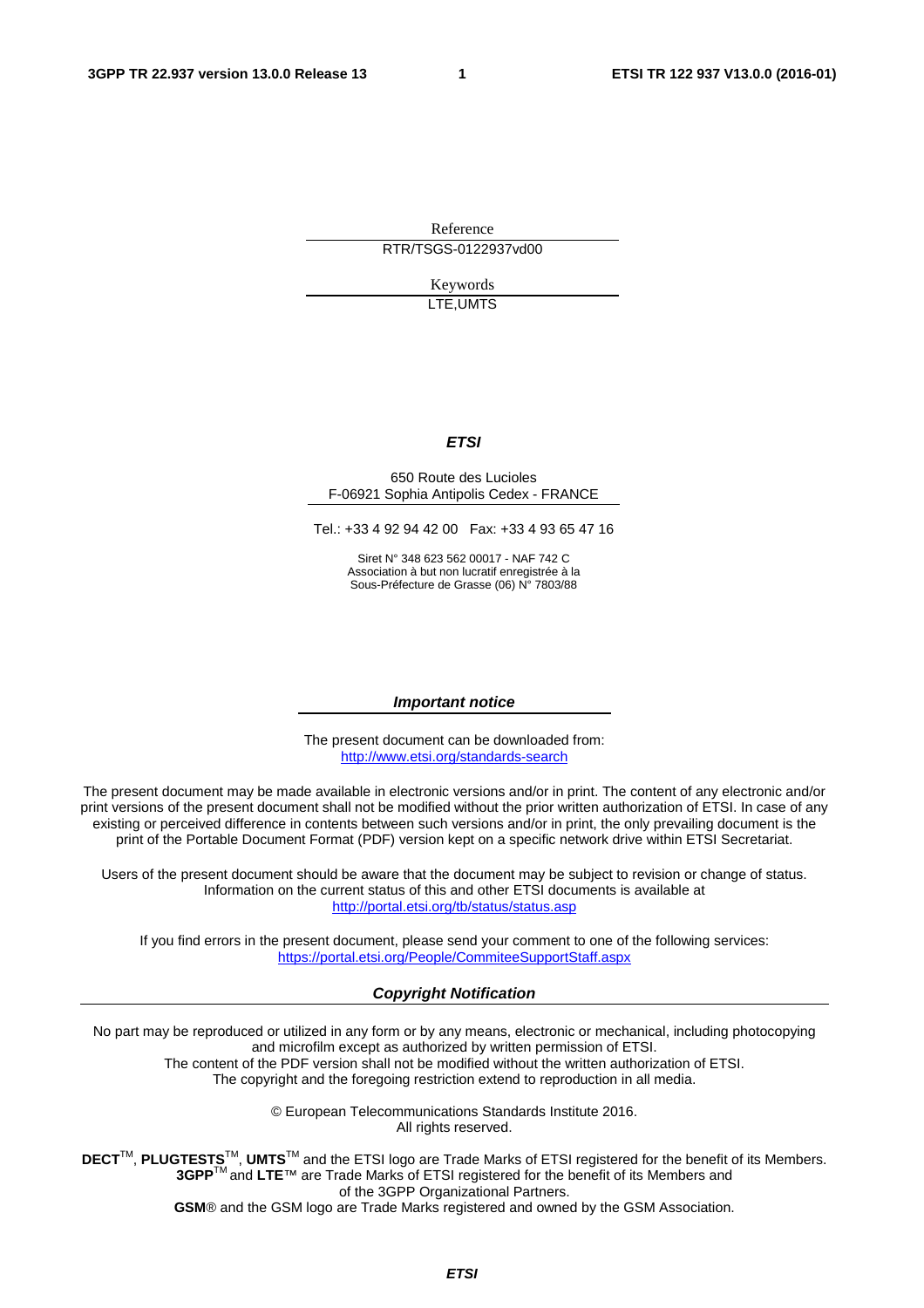Reference RTR/TSGS-0122937vd00

> Keywords LTE,UMTS

#### *ETSI*

#### 650 Route des Lucioles F-06921 Sophia Antipolis Cedex - FRANCE

Tel.: +33 4 92 94 42 00 Fax: +33 4 93 65 47 16

Siret N° 348 623 562 00017 - NAF 742 C Association à but non lucratif enregistrée à la Sous-Préfecture de Grasse (06) N° 7803/88

#### *Important notice*

The present document can be downloaded from: <http://www.etsi.org/standards-search>

The present document may be made available in electronic versions and/or in print. The content of any electronic and/or print versions of the present document shall not be modified without the prior written authorization of ETSI. In case of any existing or perceived difference in contents between such versions and/or in print, the only prevailing document is the print of the Portable Document Format (PDF) version kept on a specific network drive within ETSI Secretariat.

Users of the present document should be aware that the document may be subject to revision or change of status. Information on the current status of this and other ETSI documents is available at <http://portal.etsi.org/tb/status/status.asp>

If you find errors in the present document, please send your comment to one of the following services: <https://portal.etsi.org/People/CommiteeSupportStaff.aspx>

#### *Copyright Notification*

No part may be reproduced or utilized in any form or by any means, electronic or mechanical, including photocopying and microfilm except as authorized by written permission of ETSI.

The content of the PDF version shall not be modified without the written authorization of ETSI. The copyright and the foregoing restriction extend to reproduction in all media.

> © European Telecommunications Standards Institute 2016. All rights reserved.

**DECT**TM, **PLUGTESTS**TM, **UMTS**TM and the ETSI logo are Trade Marks of ETSI registered for the benefit of its Members. **3GPP**TM and **LTE**™ are Trade Marks of ETSI registered for the benefit of its Members and of the 3GPP Organizational Partners.

**GSM**® and the GSM logo are Trade Marks registered and owned by the GSM Association.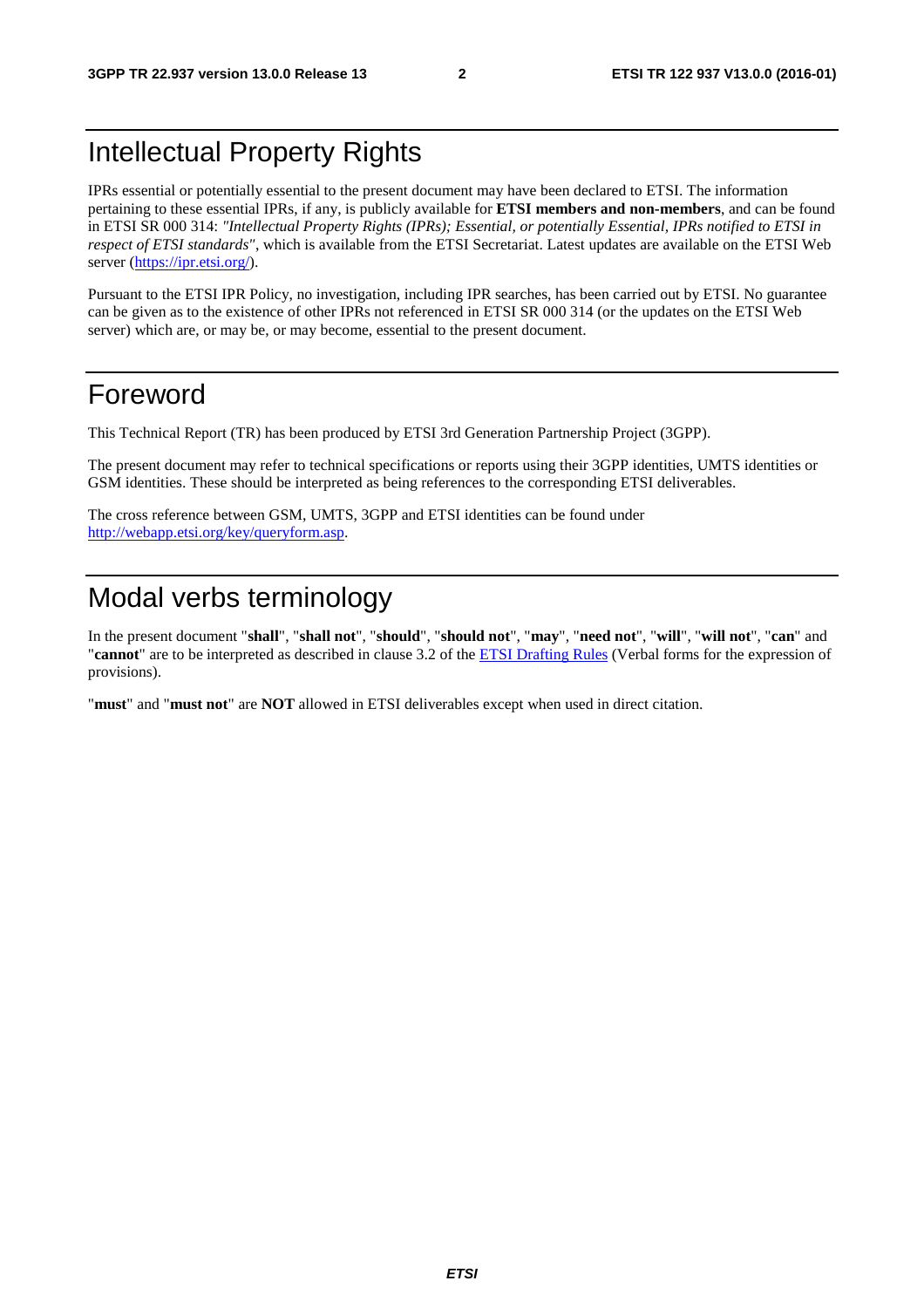# Intellectual Property Rights

IPRs essential or potentially essential to the present document may have been declared to ETSI. The information pertaining to these essential IPRs, if any, is publicly available for **ETSI members and non-members**, and can be found in ETSI SR 000 314: *"Intellectual Property Rights (IPRs); Essential, or potentially Essential, IPRs notified to ETSI in respect of ETSI standards"*, which is available from the ETSI Secretariat. Latest updates are available on the ETSI Web server [\(https://ipr.etsi.org/\)](https://ipr.etsi.org/).

Pursuant to the ETSI IPR Policy, no investigation, including IPR searches, has been carried out by ETSI. No guarantee can be given as to the existence of other IPRs not referenced in ETSI SR 000 314 (or the updates on the ETSI Web server) which are, or may be, or may become, essential to the present document.

# Foreword

This Technical Report (TR) has been produced by ETSI 3rd Generation Partnership Project (3GPP).

The present document may refer to technical specifications or reports using their 3GPP identities, UMTS identities or GSM identities. These should be interpreted as being references to the corresponding ETSI deliverables.

The cross reference between GSM, UMTS, 3GPP and ETSI identities can be found under [http://webapp.etsi.org/key/queryform.asp.](http://webapp.etsi.org/key/queryform.asp)

# Modal verbs terminology

In the present document "**shall**", "**shall not**", "**should**", "**should not**", "**may**", "**need not**", "**will**", "**will not**", "**can**" and "**cannot**" are to be interpreted as described in clause 3.2 of the [ETSI Drafting Rules](http://portal.etsi.org/Help/editHelp!/Howtostart/ETSIDraftingRules.aspx) (Verbal forms for the expression of provisions).

"**must**" and "**must not**" are **NOT** allowed in ETSI deliverables except when used in direct citation.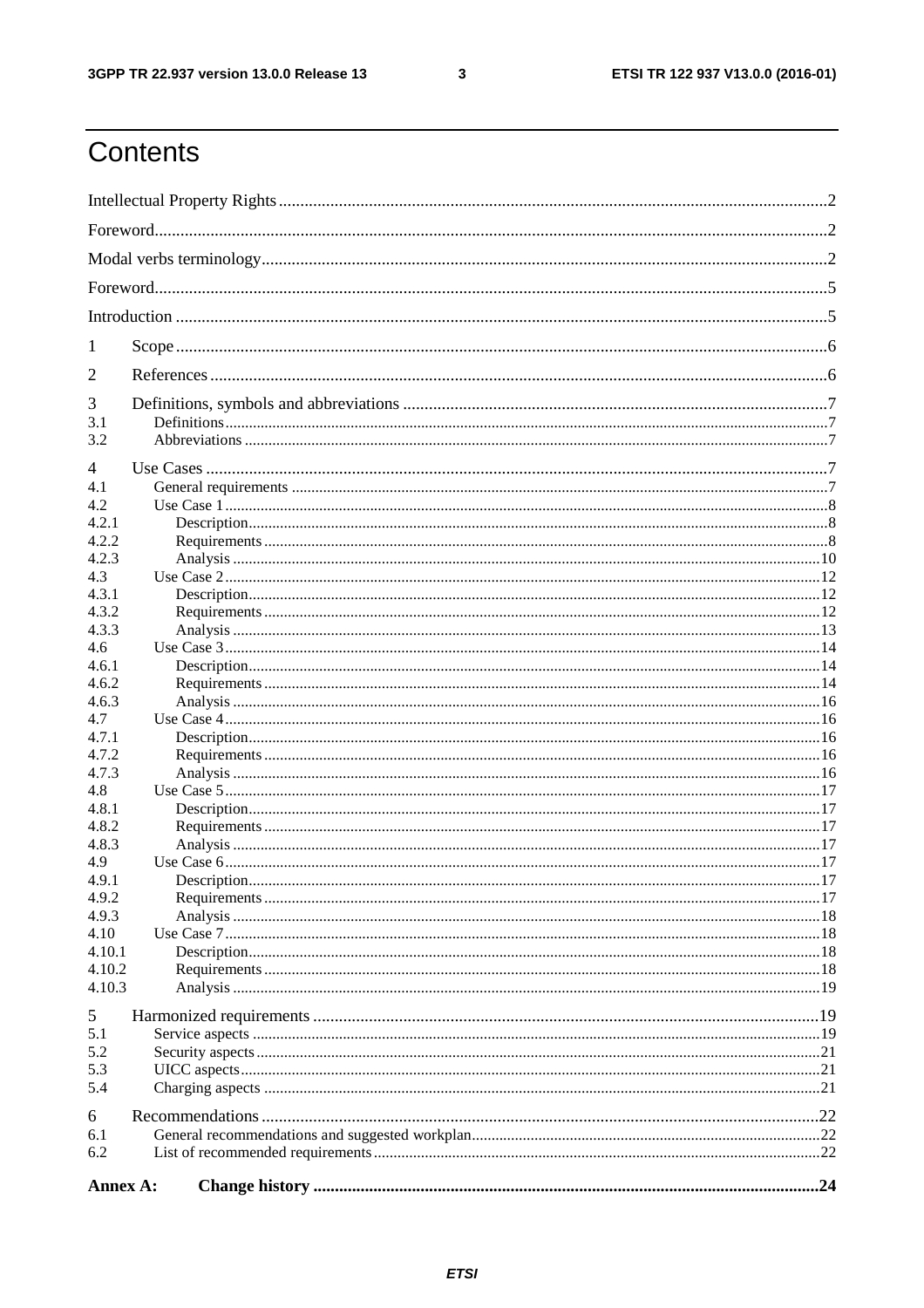$\mathbf{3}$ 

# Contents

| 1<br>2<br>3<br>3.1<br>3.2<br>4<br>4.1<br>4.2<br>4.2.1<br>4.2.2<br>4.2.3<br>4.3<br>4.3.1<br>4.3.2<br>4.3.3<br>4.6<br>4.6.1<br>4.6.2<br>4.6.3<br>4.7<br>4.7.1<br>4.7.2<br>4.7.3<br>4.8<br>4.8.1<br>4.8.2<br>4.8.3<br>4.9<br>4.9.1<br>4.9.2<br>4.9.3<br>4.10<br>4.10.1<br>4.10.2<br>4.10.3<br>5<br>5.1<br>5.2<br>5.3<br>5.4<br>6<br>6.1<br>6.2<br>Annex A: |  |  |  |  |  |  |
|---------------------------------------------------------------------------------------------------------------------------------------------------------------------------------------------------------------------------------------------------------------------------------------------------------------------------------------------------------|--|--|--|--|--|--|
|                                                                                                                                                                                                                                                                                                                                                         |  |  |  |  |  |  |
|                                                                                                                                                                                                                                                                                                                                                         |  |  |  |  |  |  |
|                                                                                                                                                                                                                                                                                                                                                         |  |  |  |  |  |  |
|                                                                                                                                                                                                                                                                                                                                                         |  |  |  |  |  |  |
|                                                                                                                                                                                                                                                                                                                                                         |  |  |  |  |  |  |
|                                                                                                                                                                                                                                                                                                                                                         |  |  |  |  |  |  |
|                                                                                                                                                                                                                                                                                                                                                         |  |  |  |  |  |  |
|                                                                                                                                                                                                                                                                                                                                                         |  |  |  |  |  |  |
|                                                                                                                                                                                                                                                                                                                                                         |  |  |  |  |  |  |
|                                                                                                                                                                                                                                                                                                                                                         |  |  |  |  |  |  |
|                                                                                                                                                                                                                                                                                                                                                         |  |  |  |  |  |  |
|                                                                                                                                                                                                                                                                                                                                                         |  |  |  |  |  |  |
|                                                                                                                                                                                                                                                                                                                                                         |  |  |  |  |  |  |
|                                                                                                                                                                                                                                                                                                                                                         |  |  |  |  |  |  |
|                                                                                                                                                                                                                                                                                                                                                         |  |  |  |  |  |  |
|                                                                                                                                                                                                                                                                                                                                                         |  |  |  |  |  |  |
|                                                                                                                                                                                                                                                                                                                                                         |  |  |  |  |  |  |
|                                                                                                                                                                                                                                                                                                                                                         |  |  |  |  |  |  |
|                                                                                                                                                                                                                                                                                                                                                         |  |  |  |  |  |  |
|                                                                                                                                                                                                                                                                                                                                                         |  |  |  |  |  |  |
|                                                                                                                                                                                                                                                                                                                                                         |  |  |  |  |  |  |
|                                                                                                                                                                                                                                                                                                                                                         |  |  |  |  |  |  |
|                                                                                                                                                                                                                                                                                                                                                         |  |  |  |  |  |  |
|                                                                                                                                                                                                                                                                                                                                                         |  |  |  |  |  |  |
|                                                                                                                                                                                                                                                                                                                                                         |  |  |  |  |  |  |
|                                                                                                                                                                                                                                                                                                                                                         |  |  |  |  |  |  |
|                                                                                                                                                                                                                                                                                                                                                         |  |  |  |  |  |  |
|                                                                                                                                                                                                                                                                                                                                                         |  |  |  |  |  |  |
|                                                                                                                                                                                                                                                                                                                                                         |  |  |  |  |  |  |
|                                                                                                                                                                                                                                                                                                                                                         |  |  |  |  |  |  |
|                                                                                                                                                                                                                                                                                                                                                         |  |  |  |  |  |  |
|                                                                                                                                                                                                                                                                                                                                                         |  |  |  |  |  |  |
|                                                                                                                                                                                                                                                                                                                                                         |  |  |  |  |  |  |
|                                                                                                                                                                                                                                                                                                                                                         |  |  |  |  |  |  |
|                                                                                                                                                                                                                                                                                                                                                         |  |  |  |  |  |  |
|                                                                                                                                                                                                                                                                                                                                                         |  |  |  |  |  |  |
|                                                                                                                                                                                                                                                                                                                                                         |  |  |  |  |  |  |
|                                                                                                                                                                                                                                                                                                                                                         |  |  |  |  |  |  |
|                                                                                                                                                                                                                                                                                                                                                         |  |  |  |  |  |  |
|                                                                                                                                                                                                                                                                                                                                                         |  |  |  |  |  |  |
|                                                                                                                                                                                                                                                                                                                                                         |  |  |  |  |  |  |
|                                                                                                                                                                                                                                                                                                                                                         |  |  |  |  |  |  |
|                                                                                                                                                                                                                                                                                                                                                         |  |  |  |  |  |  |
|                                                                                                                                                                                                                                                                                                                                                         |  |  |  |  |  |  |
|                                                                                                                                                                                                                                                                                                                                                         |  |  |  |  |  |  |
|                                                                                                                                                                                                                                                                                                                                                         |  |  |  |  |  |  |
|                                                                                                                                                                                                                                                                                                                                                         |  |  |  |  |  |  |
|                                                                                                                                                                                                                                                                                                                                                         |  |  |  |  |  |  |
|                                                                                                                                                                                                                                                                                                                                                         |  |  |  |  |  |  |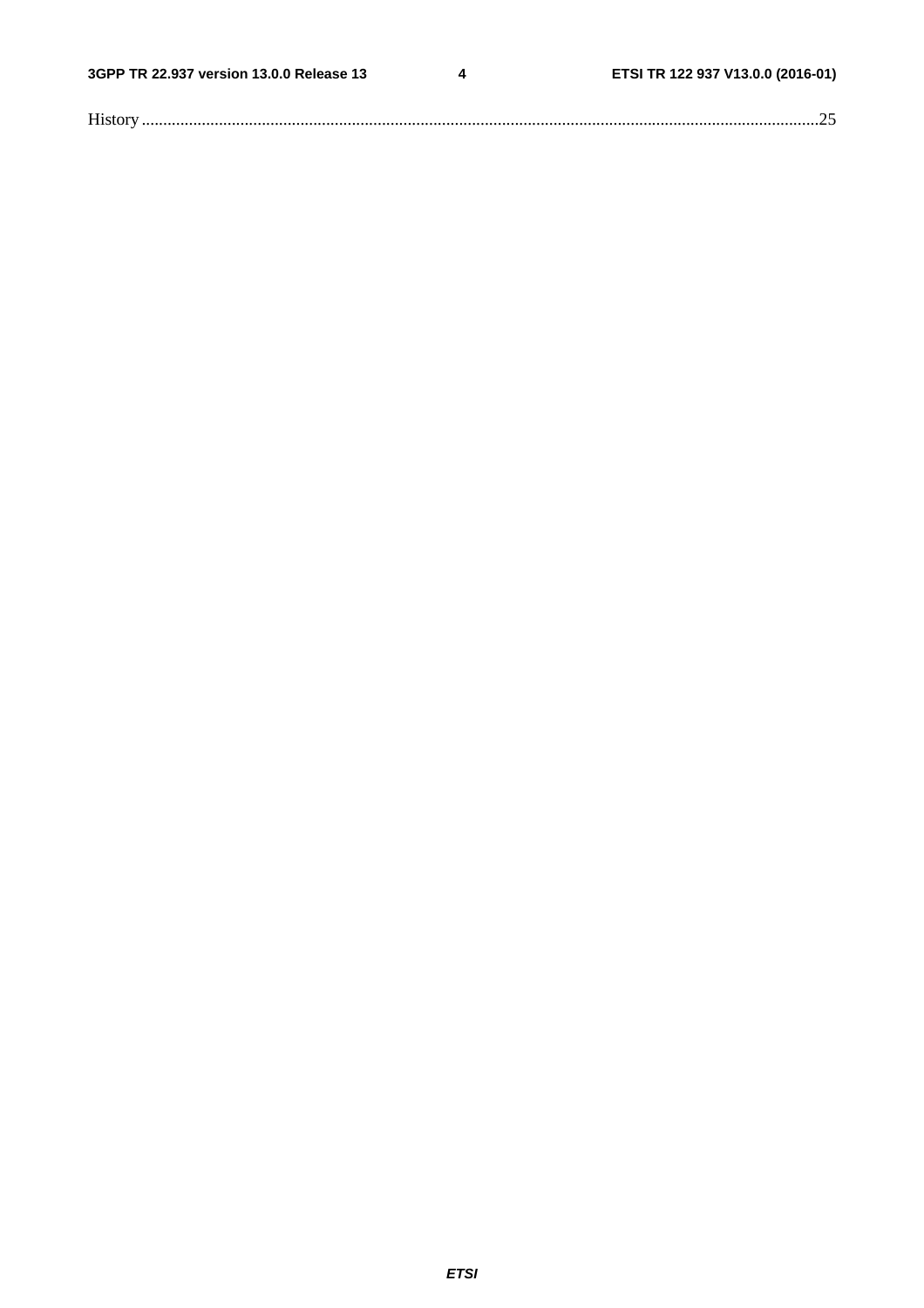$\overline{\mathbf{4}}$ 

| T |  |
|---|--|
|   |  |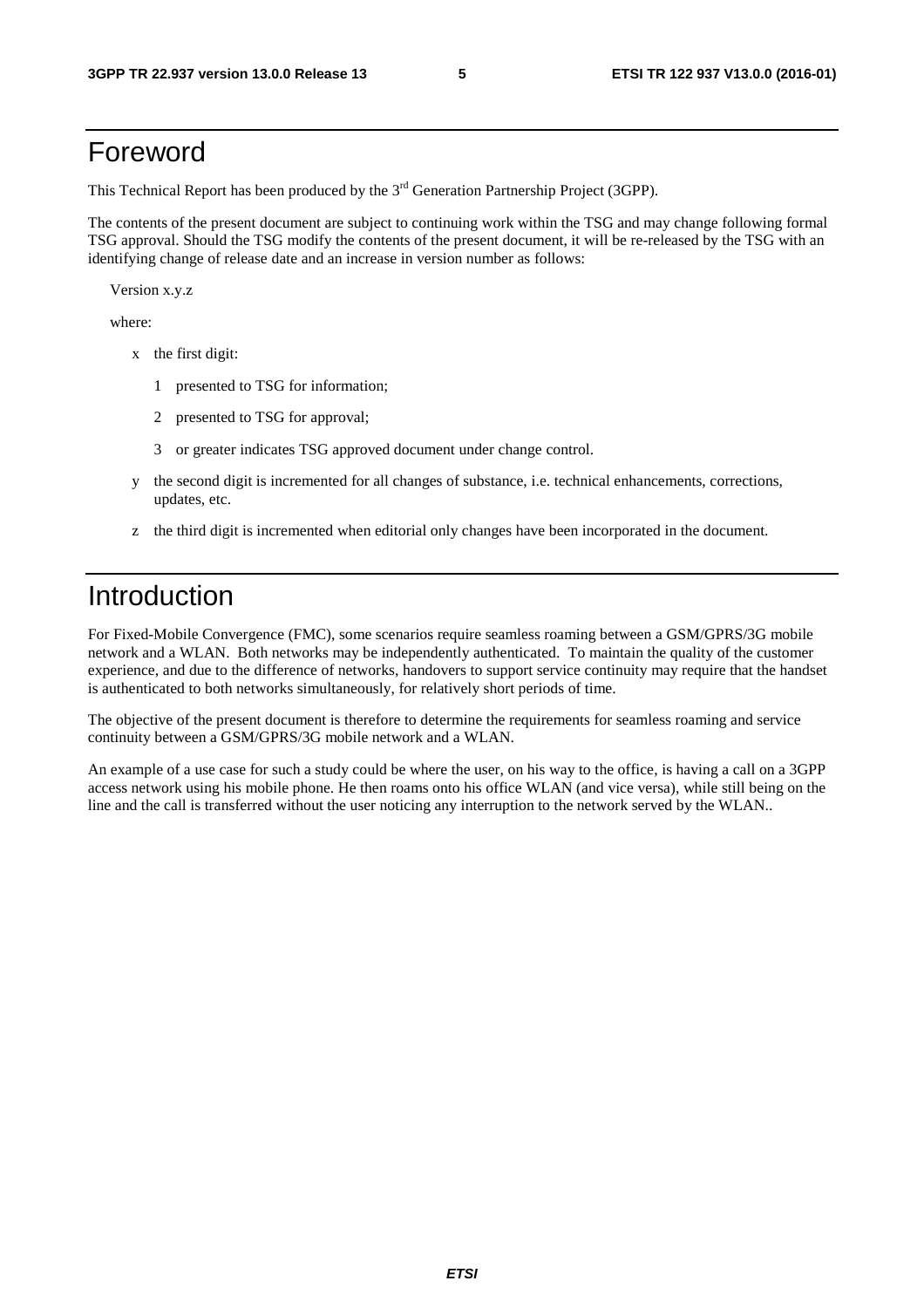# Foreword

This Technical Report has been produced by the  $3<sup>rd</sup>$  Generation Partnership Project (3GPP).

The contents of the present document are subject to continuing work within the TSG and may change following formal TSG approval. Should the TSG modify the contents of the present document, it will be re-released by the TSG with an identifying change of release date and an increase in version number as follows:

Version x.y.z

where:

- x the first digit:
	- 1 presented to TSG for information;
	- 2 presented to TSG for approval;
	- 3 or greater indicates TSG approved document under change control.
- y the second digit is incremented for all changes of substance, i.e. technical enhancements, corrections, updates, etc.
- z the third digit is incremented when editorial only changes have been incorporated in the document.

# Introduction

For Fixed-Mobile Convergence (FMC), some scenarios require seamless roaming between a GSM/GPRS/3G mobile network and a WLAN. Both networks may be independently authenticated. To maintain the quality of the customer experience, and due to the difference of networks, handovers to support service continuity may require that the handset is authenticated to both networks simultaneously, for relatively short periods of time.

The objective of the present document is therefore to determine the requirements for seamless roaming and service continuity between a GSM/GPRS/3G mobile network and a WLAN.

An example of a use case for such a study could be where the user, on his way to the office, is having a call on a 3GPP access network using his mobile phone. He then roams onto his office WLAN (and vice versa), while still being on the line and the call is transferred without the user noticing any interruption to the network served by the WLAN..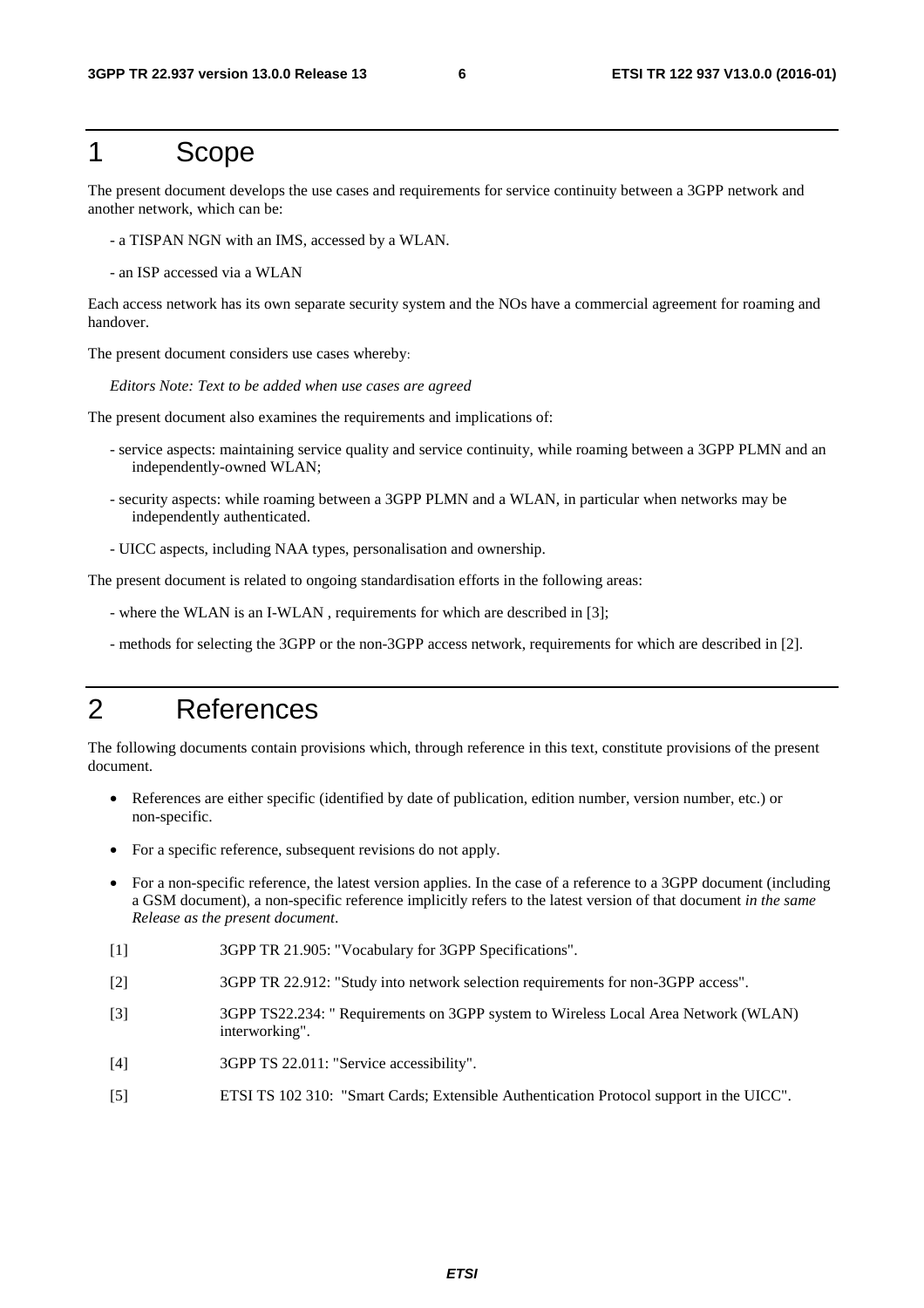# 1 Scope

The present document develops the use cases and requirements for service continuity between a 3GPP network and another network, which can be:

- a TISPAN NGN with an IMS, accessed by a WLAN.
- an ISP accessed via a WLAN

Each access network has its own separate security system and the NOs have a commercial agreement for roaming and handover.

The present document considers use cases whereby:

*Editors Note: Text to be added when use cases are agreed*

The present document also examines the requirements and implications of:

- service aspects: maintaining service quality and service continuity, while roaming between a 3GPP PLMN and an independently-owned WLAN;
- security aspects: while roaming between a 3GPP PLMN and a WLAN, in particular when networks may be independently authenticated.
- UICC aspects, including NAA types, personalisation and ownership.

The present document is related to ongoing standardisation efforts in the following areas:

- where the WLAN is an I-WLAN , requirements for which are described in [3];
- methods for selecting the 3GPP or the non-3GPP access network, requirements for which are described in [2].

# 2 References

The following documents contain provisions which, through reference in this text, constitute provisions of the present document.

- References are either specific (identified by date of publication, edition number, version number, etc.) or non-specific.
- For a specific reference, subsequent revisions do not apply.
- For a non-specific reference, the latest version applies. In the case of a reference to a 3GPP document (including a GSM document), a non-specific reference implicitly refers to the latest version of that document *in the same Release as the present document*.
- [1] 3GPP TR 21.905: "Vocabulary for 3GPP Specifications".
- [2] 3GPP TR 22.912: "Study into network selection requirements for non-3GPP access".
- [3] 3GPP TS22.234: " Requirements on 3GPP system to Wireless Local Area Network (WLAN) interworking".
- [4] 3GPP TS 22.011: "Service accessibility".
- [5] ETSI TS 102 310: "Smart Cards; Extensible Authentication Protocol support in the UICC".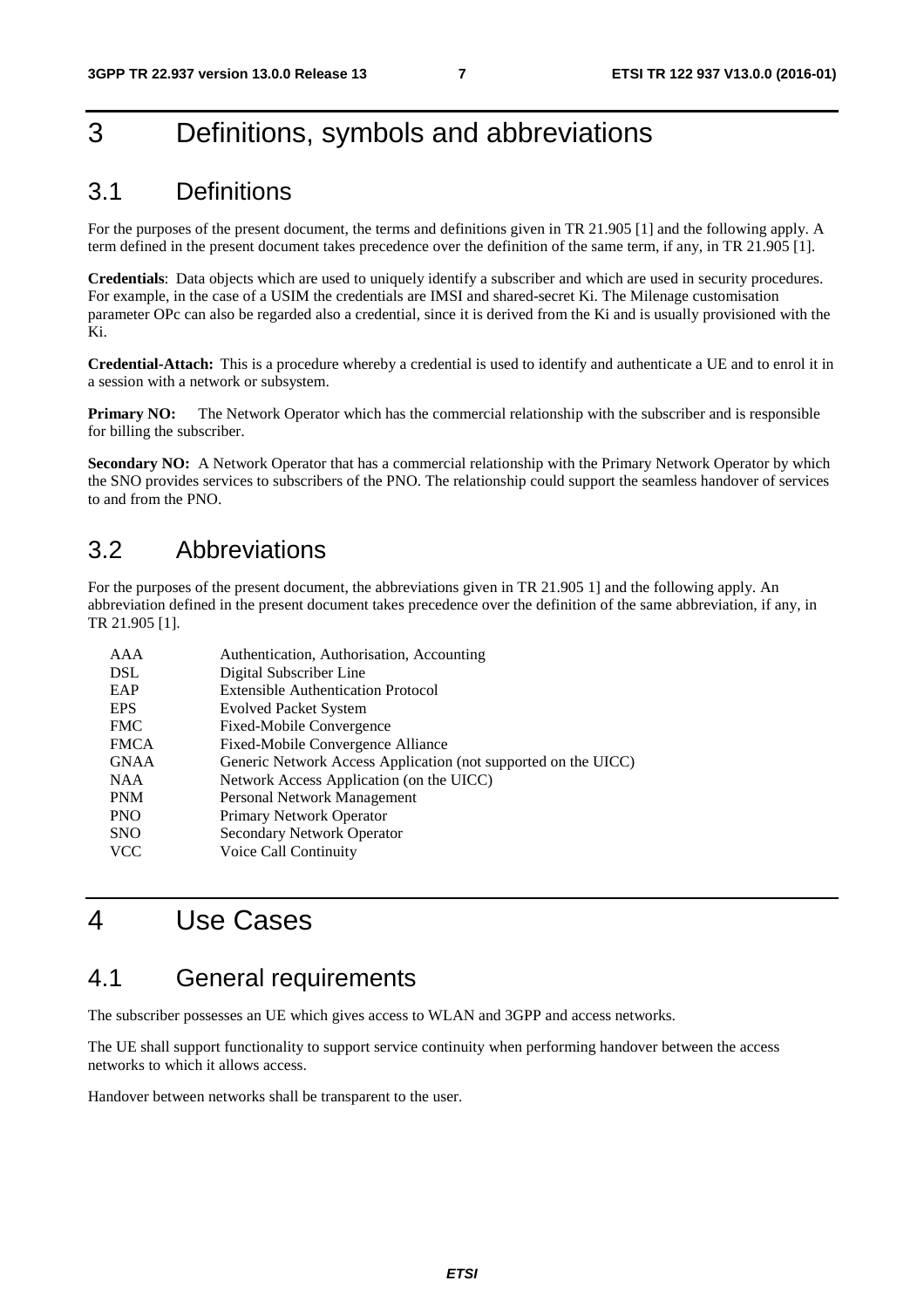# 3 Definitions, symbols and abbreviations

# 3.1 Definitions

For the purposes of the present document, the terms and definitions given in TR 21.905 [1] and the following apply. A term defined in the present document takes precedence over the definition of the same term, if any, in TR 21.905 [1].

**Credentials**: Data objects which are used to uniquely identify a subscriber and which are used in security procedures. For example, in the case of a USIM the credentials are IMSI and shared-secret Ki. The Milenage customisation parameter OPc can also be regarded also a credential, since it is derived from the Ki and is usually provisioned with the Ki.

**Credential-Attach:** This is a procedure whereby a credential is used to identify and authenticate a UE and to enrol it in a session with a network or subsystem.

**Primary NO:** The Network Operator which has the commercial relationship with the subscriber and is responsible for billing the subscriber.

**Secondary NO:** A Network Operator that has a commercial relationship with the Primary Network Operator by which the SNO provides services to subscribers of the PNO. The relationship could support the seamless handover of services to and from the PNO.

# 3.2 Abbreviations

For the purposes of the present document, the abbreviations given in TR 21.905 1] and the following apply. An abbreviation defined in the present document takes precedence over the definition of the same abbreviation, if any, in TR 21.905 [1].

| Authentication, Authorisation, Accounting                      |
|----------------------------------------------------------------|
| Digital Subscriber Line                                        |
| <b>Extensible Authentication Protocol</b>                      |
| <b>Evolved Packet System</b>                                   |
| Fixed-Mobile Convergence                                       |
| Fixed-Mobile Convergence Alliance                              |
| Generic Network Access Application (not supported on the UICC) |
| Network Access Application (on the UICC)                       |
| Personal Network Management                                    |
| Primary Network Operator                                       |
| Secondary Network Operator                                     |
| Voice Call Continuity                                          |
|                                                                |

# 4 Use Cases

# 4.1 General requirements

The subscriber possesses an UE which gives access to WLAN and 3GPP and access networks.

The UE shall support functionality to support service continuity when performing handover between the access networks to which it allows access.

Handover between networks shall be transparent to the user.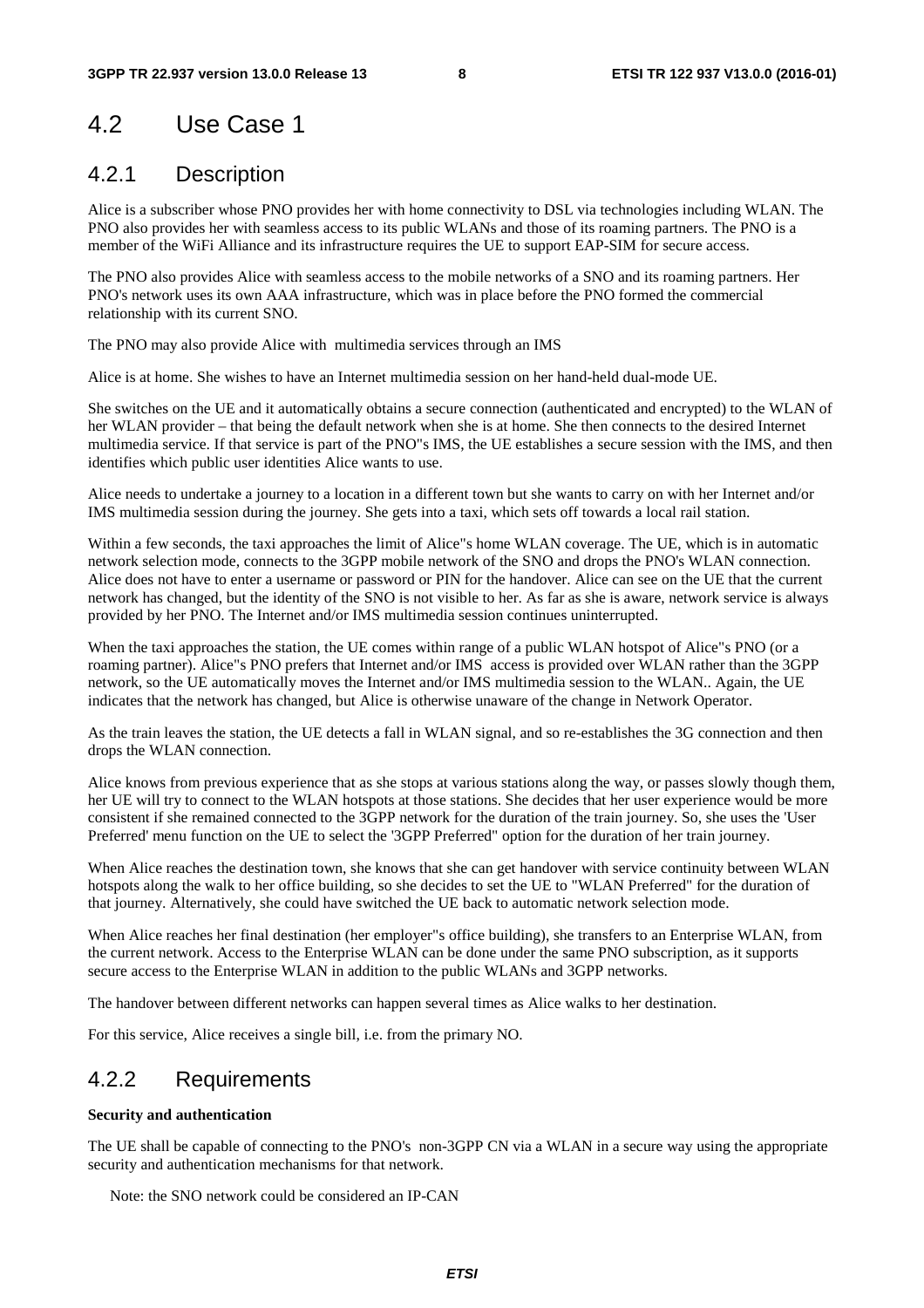# 4.2 Use Case 1

### 4.2.1 Description

Alice is a subscriber whose PNO provides her with home connectivity to DSL via technologies including WLAN. The PNO also provides her with seamless access to its public WLANs and those of its roaming partners. The PNO is a member of the WiFi Alliance and its infrastructure requires the UE to support EAP-SIM for secure access.

The PNO also provides Alice with seamless access to the mobile networks of a SNO and its roaming partners. Her PNO's network uses its own AAA infrastructure, which was in place before the PNO formed the commercial relationship with its current SNO.

The PNO may also provide Alice with multimedia services through an IMS

Alice is at home. She wishes to have an Internet multimedia session on her hand-held dual-mode UE.

She switches on the UE and it automatically obtains a secure connection (authenticated and encrypted) to the WLAN of her WLAN provider – that being the default network when she is at home. She then connects to the desired Internet multimedia service. If that service is part of the PNO"s IMS, the UE establishes a secure session with the IMS, and then identifies which public user identities Alice wants to use.

Alice needs to undertake a journey to a location in a different town but she wants to carry on with her Internet and/or IMS multimedia session during the journey. She gets into a taxi, which sets off towards a local rail station.

Within a few seconds, the taxi approaches the limit of Alice"s home WLAN coverage. The UE, which is in automatic network selection mode, connects to the 3GPP mobile network of the SNO and drops the PNO's WLAN connection. Alice does not have to enter a username or password or PIN for the handover. Alice can see on the UE that the current network has changed, but the identity of the SNO is not visible to her. As far as she is aware, network service is always provided by her PNO. The Internet and/or IMS multimedia session continues uninterrupted.

When the taxi approaches the station, the UE comes within range of a public WLAN hotspot of Alice"s PNO (or a roaming partner). Alice"s PNO prefers that Internet and/or IMS access is provided over WLAN rather than the 3GPP network, so the UE automatically moves the Internet and/or IMS multimedia session to the WLAN.. Again, the UE indicates that the network has changed, but Alice is otherwise unaware of the change in Network Operator.

As the train leaves the station, the UE detects a fall in WLAN signal, and so re-establishes the 3G connection and then drops the WLAN connection.

Alice knows from previous experience that as she stops at various stations along the way, or passes slowly though them, her UE will try to connect to the WLAN hotspots at those stations. She decides that her user experience would be more consistent if she remained connected to the 3GPP network for the duration of the train journey. So, she uses the 'User Preferred' menu function on the UE to select the '3GPP Preferred" option for the duration of her train journey.

When Alice reaches the destination town, she knows that she can get handover with service continuity between WLAN hotspots along the walk to her office building, so she decides to set the UE to "WLAN Preferred" for the duration of that journey. Alternatively, she could have switched the UE back to automatic network selection mode.

When Alice reaches her final destination (her employer"s office building), she transfers to an Enterprise WLAN, from the current network. Access to the Enterprise WLAN can be done under the same PNO subscription, as it supports secure access to the Enterprise WLAN in addition to the public WLANs and 3GPP networks.

The handover between different networks can happen several times as Alice walks to her destination.

For this service, Alice receives a single bill, i.e. from the primary NO.

### 4.2.2 Requirements

#### **Security and authentication**

The UE shall be capable of connecting to the PNO's non-3GPP CN via a WLAN in a secure way using the appropriate security and authentication mechanisms for that network.

Note: the SNO network could be considered an IP-CAN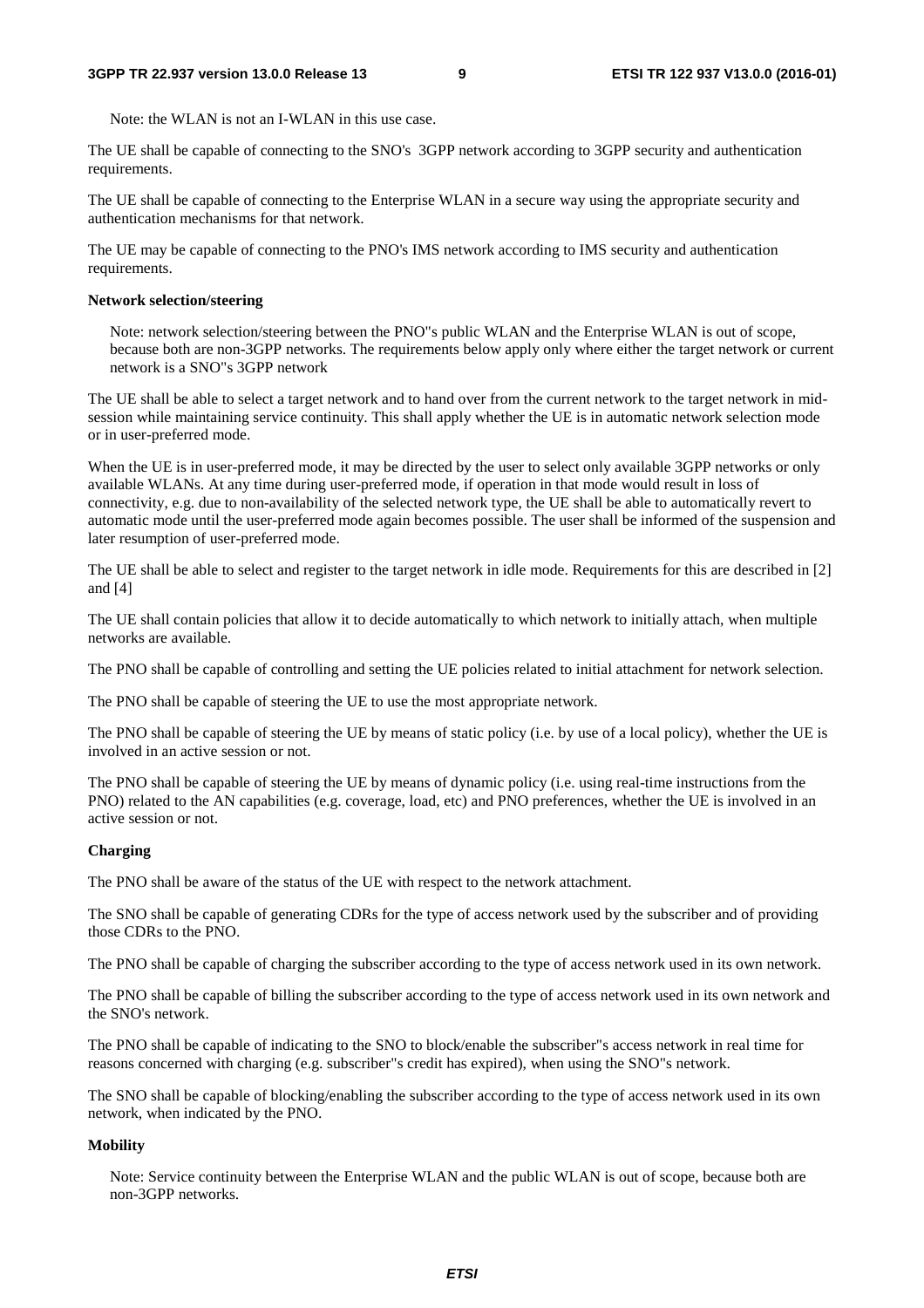Note: the WLAN is not an I-WLAN in this use case.

The UE shall be capable of connecting to the SNO's 3GPP network according to 3GPP security and authentication requirements.

The UE shall be capable of connecting to the Enterprise WLAN in a secure way using the appropriate security and authentication mechanisms for that network.

The UE may be capable of connecting to the PNO's IMS network according to IMS security and authentication requirements.

#### **Network selection/steering**

Note: network selection/steering between the PNO"s public WLAN and the Enterprise WLAN is out of scope, because both are non-3GPP networks. The requirements below apply only where either the target network or current network is a SNO"s 3GPP network

The UE shall be able to select a target network and to hand over from the current network to the target network in midsession while maintaining service continuity. This shall apply whether the UE is in automatic network selection mode or in user-preferred mode.

When the UE is in user-preferred mode, it may be directed by the user to select only available 3GPP networks or only available WLANs. At any time during user-preferred mode, if operation in that mode would result in loss of connectivity, e.g. due to non-availability of the selected network type, the UE shall be able to automatically revert to automatic mode until the user-preferred mode again becomes possible. The user shall be informed of the suspension and later resumption of user-preferred mode.

The UE shall be able to select and register to the target network in idle mode. Requirements for this are described in [2] and [4]

The UE shall contain policies that allow it to decide automatically to which network to initially attach, when multiple networks are available.

The PNO shall be capable of controlling and setting the UE policies related to initial attachment for network selection.

The PNO shall be capable of steering the UE to use the most appropriate network.

The PNO shall be capable of steering the UE by means of static policy (i.e. by use of a local policy), whether the UE is involved in an active session or not.

The PNO shall be capable of steering the UE by means of dynamic policy (i.e. using real-time instructions from the PNO) related to the AN capabilities (e.g. coverage, load, etc) and PNO preferences, whether the UE is involved in an active session or not.

#### **Charging**

The PNO shall be aware of the status of the UE with respect to the network attachment.

The SNO shall be capable of generating CDRs for the type of access network used by the subscriber and of providing those CDRs to the PNO.

The PNO shall be capable of charging the subscriber according to the type of access network used in its own network.

The PNO shall be capable of billing the subscriber according to the type of access network used in its own network and the SNO's network.

The PNO shall be capable of indicating to the SNO to block/enable the subscriber"s access network in real time for reasons concerned with charging (e.g. subscriber"s credit has expired), when using the SNO"s network.

The SNO shall be capable of blocking/enabling the subscriber according to the type of access network used in its own network, when indicated by the PNO.

#### **Mobility**

Note: Service continuity between the Enterprise WLAN and the public WLAN is out of scope, because both are non-3GPP networks.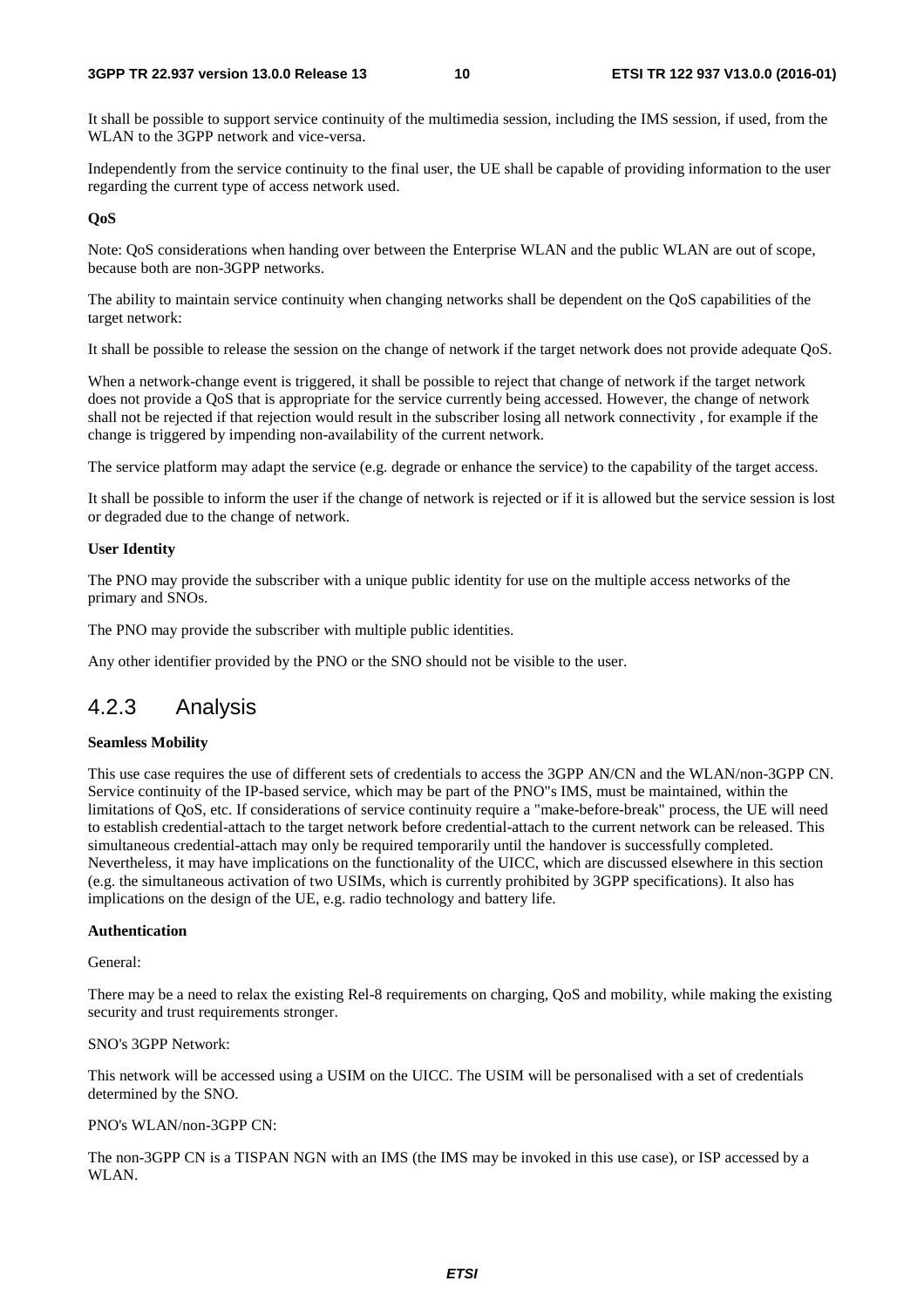It shall be possible to support service continuity of the multimedia session, including the IMS session, if used, from the WLAN to the 3GPP network and vice-versa.

Independently from the service continuity to the final user, the UE shall be capable of providing information to the user regarding the current type of access network used.

#### **QoS**

Note: QoS considerations when handing over between the Enterprise WLAN and the public WLAN are out of scope, because both are non-3GPP networks.

The ability to maintain service continuity when changing networks shall be dependent on the QoS capabilities of the target network:

It shall be possible to release the session on the change of network if the target network does not provide adequate QoS.

When a network-change event is triggered, it shall be possible to reject that change of network if the target network does not provide a QoS that is appropriate for the service currently being accessed. However, the change of network shall not be rejected if that rejection would result in the subscriber losing all network connectivity , for example if the change is triggered by impending non-availability of the current network.

The service platform may adapt the service (e.g. degrade or enhance the service) to the capability of the target access.

It shall be possible to inform the user if the change of network is rejected or if it is allowed but the service session is lost or degraded due to the change of network.

#### **User Identity**

The PNO may provide the subscriber with a unique public identity for use on the multiple access networks of the primary and SNOs.

The PNO may provide the subscriber with multiple public identities.

Any other identifier provided by the PNO or the SNO should not be visible to the user.

### 4.2.3 Analysis

#### **Seamless Mobility**

This use case requires the use of different sets of credentials to access the 3GPP AN/CN and the WLAN/non-3GPP CN. Service continuity of the IP-based service, which may be part of the PNO"s IMS, must be maintained, within the limitations of QoS, etc. If considerations of service continuity require a "make-before-break" process, the UE will need to establish credential-attach to the target network before credential-attach to the current network can be released. This simultaneous credential-attach may only be required temporarily until the handover is successfully completed. Nevertheless, it may have implications on the functionality of the UICC, which are discussed elsewhere in this section (e.g. the simultaneous activation of two USIMs, which is currently prohibited by 3GPP specifications). It also has implications on the design of the UE, e.g. radio technology and battery life.

#### **Authentication**

General:

There may be a need to relax the existing Rel-8 requirements on charging, QoS and mobility, while making the existing security and trust requirements stronger.

#### SNO's 3GPP Network:

This network will be accessed using a USIM on the UICC. The USIM will be personalised with a set of credentials determined by the SNO.

#### PNO's WLAN/non-3GPP CN:

The non-3GPP CN is a TISPAN NGN with an IMS (the IMS may be invoked in this use case), or ISP accessed by a WLAN.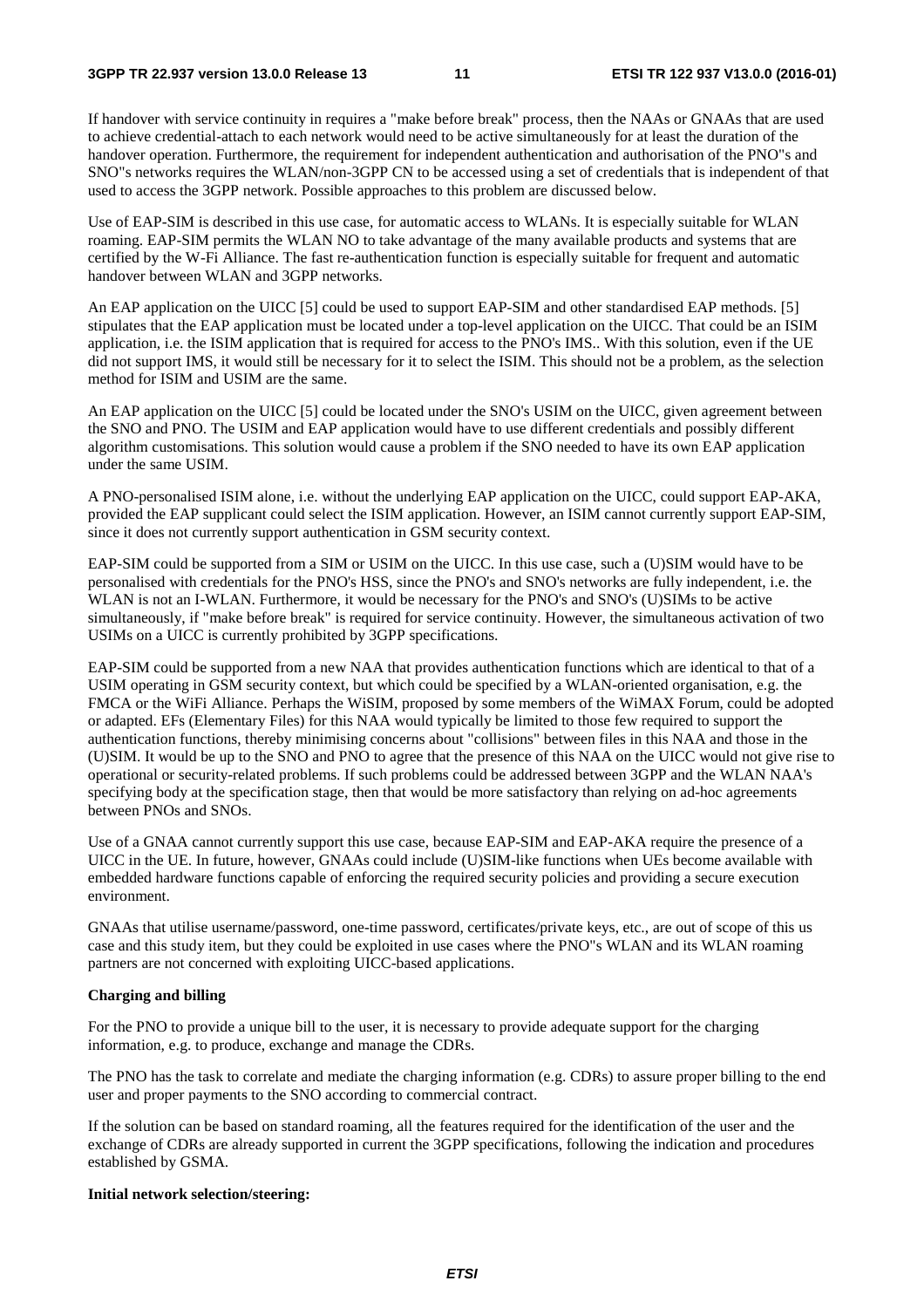If handover with service continuity in requires a "make before break" process, then the NAAs or GNAAs that are used to achieve credential-attach to each network would need to be active simultaneously for at least the duration of the handover operation. Furthermore, the requirement for independent authentication and authorisation of the PNO"s and SNO"s networks requires the WLAN/non-3GPP CN to be accessed using a set of credentials that is independent of that used to access the 3GPP network. Possible approaches to this problem are discussed below.

Use of EAP-SIM is described in this use case, for automatic access to WLANs. It is especially suitable for WLAN roaming. EAP-SIM permits the WLAN NO to take advantage of the many available products and systems that are certified by the W-Fi Alliance. The fast re-authentication function is especially suitable for frequent and automatic handover between WLAN and 3GPP networks.

An EAP application on the UICC [5] could be used to support EAP-SIM and other standardised EAP methods. [5] stipulates that the EAP application must be located under a top-level application on the UICC. That could be an ISIM application, i.e. the ISIM application that is required for access to the PNO's IMS.. With this solution, even if the UE did not support IMS, it would still be necessary for it to select the ISIM. This should not be a problem, as the selection method for ISIM and USIM are the same.

An EAP application on the UICC [5] could be located under the SNO's USIM on the UICC, given agreement between the SNO and PNO. The USIM and EAP application would have to use different credentials and possibly different algorithm customisations. This solution would cause a problem if the SNO needed to have its own EAP application under the same USIM.

A PNO-personalised ISIM alone, i.e. without the underlying EAP application on the UICC, could support EAP-AKA, provided the EAP supplicant could select the ISIM application. However, an ISIM cannot currently support EAP-SIM, since it does not currently support authentication in GSM security context.

EAP-SIM could be supported from a SIM or USIM on the UICC. In this use case, such a (U)SIM would have to be personalised with credentials for the PNO's HSS, since the PNO's and SNO's networks are fully independent, i.e. the WLAN is not an I-WLAN. Furthermore, it would be necessary for the PNO's and SNO's (U)SIMs to be active simultaneously, if "make before break" is required for service continuity. However, the simultaneous activation of two USIMs on a UICC is currently prohibited by 3GPP specifications.

EAP-SIM could be supported from a new NAA that provides authentication functions which are identical to that of a USIM operating in GSM security context, but which could be specified by a WLAN-oriented organisation, e.g. the FMCA or the WiFi Alliance. Perhaps the WiSIM, proposed by some members of the WiMAX Forum, could be adopted or adapted. EFs (Elementary Files) for this NAA would typically be limited to those few required to support the authentication functions, thereby minimising concerns about "collisions" between files in this NAA and those in the (U)SIM. It would be up to the SNO and PNO to agree that the presence of this NAA on the UICC would not give rise to operational or security-related problems. If such problems could be addressed between 3GPP and the WLAN NAA's specifying body at the specification stage, then that would be more satisfactory than relying on ad-hoc agreements between PNOs and SNOs.

Use of a GNAA cannot currently support this use case, because EAP-SIM and EAP-AKA require the presence of a UICC in the UE. In future, however, GNAAs could include (U)SIM-like functions when UEs become available with embedded hardware functions capable of enforcing the required security policies and providing a secure execution environment.

GNAAs that utilise username/password, one-time password, certificates/private keys, etc., are out of scope of this us case and this study item, but they could be exploited in use cases where the PNO"s WLAN and its WLAN roaming partners are not concerned with exploiting UICC-based applications.

#### **Charging and billing**

For the PNO to provide a unique bill to the user, it is necessary to provide adequate support for the charging information, e.g. to produce, exchange and manage the CDRs.

The PNO has the task to correlate and mediate the charging information (e.g. CDRs) to assure proper billing to the end user and proper payments to the SNO according to commercial contract.

If the solution can be based on standard roaming, all the features required for the identification of the user and the exchange of CDRs are already supported in current the 3GPP specifications, following the indication and procedures established by GSMA.

#### **Initial network selection/steering:**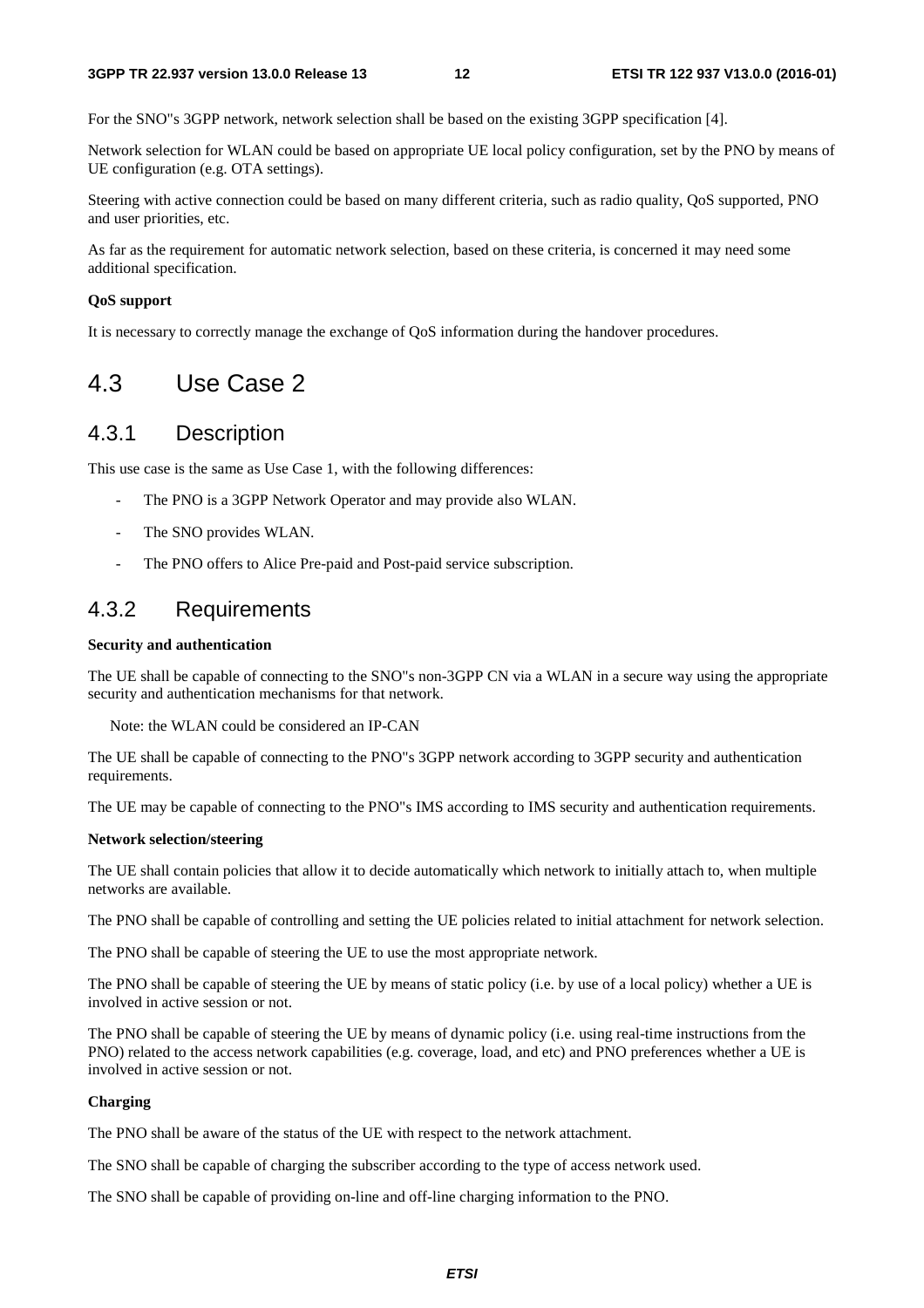For the SNO"s 3GPP network, network selection shall be based on the existing 3GPP specification [4].

Network selection for WLAN could be based on appropriate UE local policy configuration, set by the PNO by means of UE configuration (e.g. OTA settings).

Steering with active connection could be based on many different criteria, such as radio quality, QoS supported, PNO and user priorities, etc.

As far as the requirement for automatic network selection, based on these criteria, is concerned it may need some additional specification.

#### **QoS support**

It is necessary to correctly manage the exchange of QoS information during the handover procedures.

# 4.3 Use Case 2

### 4.3.1 Description

This use case is the same as Use Case 1, with the following differences:

- The PNO is a 3GPP Network Operator and may provide also WLAN.
- The SNO provides WLAN.
- The PNO offers to Alice Pre-paid and Post-paid service subscription.

### 4.3.2 Requirements

#### **Security and authentication**

The UE shall be capable of connecting to the SNO"s non-3GPP CN via a WLAN in a secure way using the appropriate security and authentication mechanisms for that network.

Note: the WLAN could be considered an IP-CAN

The UE shall be capable of connecting to the PNO"s 3GPP network according to 3GPP security and authentication requirements.

The UE may be capable of connecting to the PNO"s IMS according to IMS security and authentication requirements.

#### **Network selection/steering**

The UE shall contain policies that allow it to decide automatically which network to initially attach to, when multiple networks are available.

The PNO shall be capable of controlling and setting the UE policies related to initial attachment for network selection.

The PNO shall be capable of steering the UE to use the most appropriate network.

The PNO shall be capable of steering the UE by means of static policy (i.e. by use of a local policy) whether a UE is involved in active session or not.

The PNO shall be capable of steering the UE by means of dynamic policy (i.e. using real-time instructions from the PNO) related to the access network capabilities (e.g. coverage, load, and etc) and PNO preferences whether a UE is involved in active session or not.

#### **Charging**

The PNO shall be aware of the status of the UE with respect to the network attachment.

The SNO shall be capable of charging the subscriber according to the type of access network used.

The SNO shall be capable of providing on-line and off-line charging information to the PNO.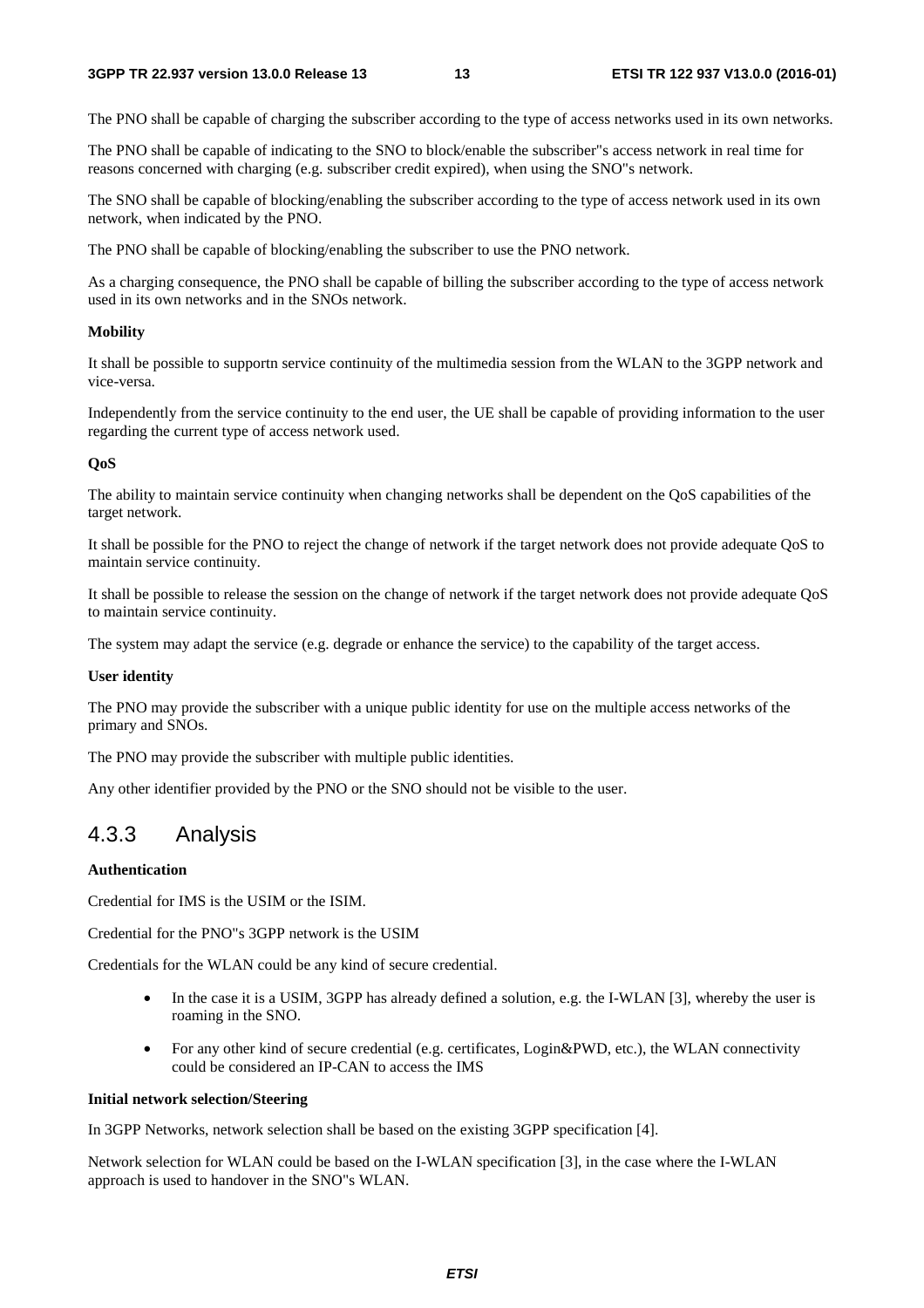The PNO shall be capable of charging the subscriber according to the type of access networks used in its own networks.

The PNO shall be capable of indicating to the SNO to block/enable the subscriber"s access network in real time for reasons concerned with charging (e.g. subscriber credit expired), when using the SNO"s network.

The SNO shall be capable of blocking/enabling the subscriber according to the type of access network used in its own network, when indicated by the PNO.

The PNO shall be capable of blocking/enabling the subscriber to use the PNO network.

As a charging consequence, the PNO shall be capable of billing the subscriber according to the type of access network used in its own networks and in the SNOs network.

#### **Mobility**

It shall be possible to supportn service continuity of the multimedia session from the WLAN to the 3GPP network and vice-versa.

Independently from the service continuity to the end user, the UE shall be capable of providing information to the user regarding the current type of access network used.

#### **QoS**

The ability to maintain service continuity when changing networks shall be dependent on the QoS capabilities of the target network.

It shall be possible for the PNO to reject the change of network if the target network does not provide adequate QoS to maintain service continuity.

It shall be possible to release the session on the change of network if the target network does not provide adequate QoS to maintain service continuity.

The system may adapt the service (e.g. degrade or enhance the service) to the capability of the target access.

#### **User identity**

The PNO may provide the subscriber with a unique public identity for use on the multiple access networks of the primary and SNOs.

The PNO may provide the subscriber with multiple public identities.

Any other identifier provided by the PNO or the SNO should not be visible to the user.

### 4.3.3 Analysis

#### **Authentication**

Credential for IMS is the USIM or the ISIM.

Credential for the PNO"s 3GPP network is the USIM

Credentials for the WLAN could be any kind of secure credential.

- In the case it is a USIM, 3GPP has already defined a solution, e.g. the I-WLAN [3], whereby the user is roaming in the SNO.
- For any other kind of secure credential (e.g. certificates, Login&PWD, etc.), the WLAN connectivity could be considered an IP-CAN to access the IMS

#### **Initial network selection/Steering**

In 3GPP Networks, network selection shall be based on the existing 3GPP specification [4].

Network selection for WLAN could be based on the I-WLAN specification [3], in the case where the I-WLAN approach is used to handover in the SNO"s WLAN.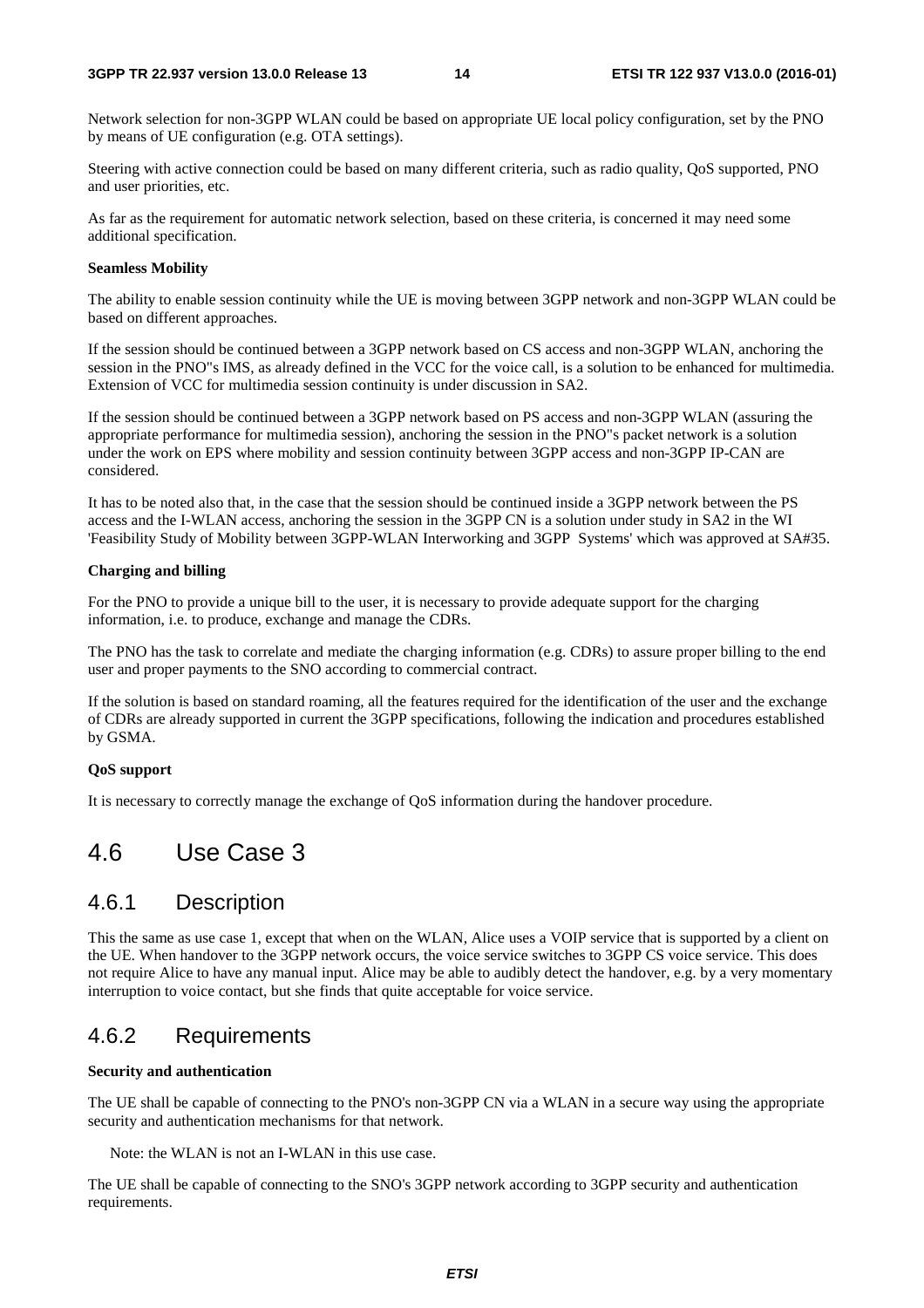Network selection for non-3GPP WLAN could be based on appropriate UE local policy configuration, set by the PNO by means of UE configuration (e.g. OTA settings).

Steering with active connection could be based on many different criteria, such as radio quality, QoS supported, PNO and user priorities, etc.

As far as the requirement for automatic network selection, based on these criteria, is concerned it may need some additional specification.

#### **Seamless Mobility**

The ability to enable session continuity while the UE is moving between 3GPP network and non-3GPP WLAN could be based on different approaches.

If the session should be continued between a 3GPP network based on CS access and non-3GPP WLAN, anchoring the session in the PNO"s IMS, as already defined in the VCC for the voice call, is a solution to be enhanced for multimedia. Extension of VCC for multimedia session continuity is under discussion in SA2.

If the session should be continued between a 3GPP network based on PS access and non-3GPP WLAN (assuring the appropriate performance for multimedia session), anchoring the session in the PNO"s packet network is a solution under the work on EPS where mobility and session continuity between 3GPP access and non-3GPP IP-CAN are considered.

It has to be noted also that, in the case that the session should be continued inside a 3GPP network between the PS access and the I-WLAN access, anchoring the session in the 3GPP CN is a solution under study in SA2 in the WI 'Feasibility Study of Mobility between 3GPP-WLAN Interworking and 3GPP Systems' which was approved at SA#35.

#### **Charging and billing**

For the PNO to provide a unique bill to the user, it is necessary to provide adequate support for the charging information, i.e. to produce, exchange and manage the CDRs.

The PNO has the task to correlate and mediate the charging information (e.g. CDRs) to assure proper billing to the end user and proper payments to the SNO according to commercial contract.

If the solution is based on standard roaming, all the features required for the identification of the user and the exchange of CDRs are already supported in current the 3GPP specifications, following the indication and procedures established by GSMA.

#### **QoS support**

It is necessary to correctly manage the exchange of QoS information during the handover procedure.

# 4.6 Use Case 3

### 4.6.1 Description

This the same as use case 1, except that when on the WLAN, Alice uses a VOIP service that is supported by a client on the UE. When handover to the 3GPP network occurs, the voice service switches to 3GPP CS voice service. This does not require Alice to have any manual input. Alice may be able to audibly detect the handover, e.g. by a very momentary interruption to voice contact, but she finds that quite acceptable for voice service.

### 4.6.2 Requirements

#### **Security and authentication**

The UE shall be capable of connecting to the PNO's non-3GPP CN via a WLAN in a secure way using the appropriate security and authentication mechanisms for that network.

Note: the WLAN is not an I-WLAN in this use case.

The UE shall be capable of connecting to the SNO's 3GPP network according to 3GPP security and authentication requirements.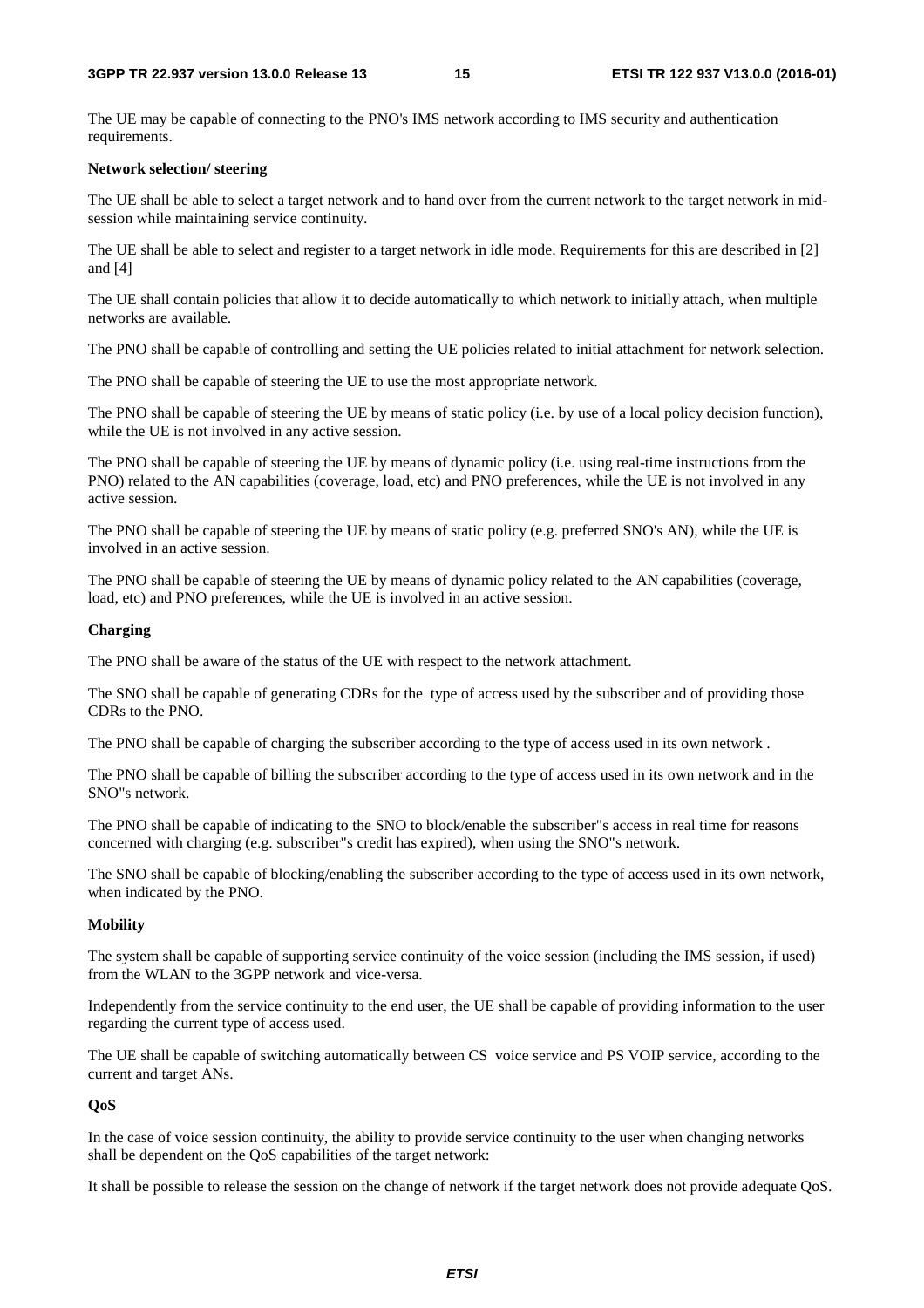The UE may be capable of connecting to the PNO's IMS network according to IMS security and authentication requirements.

#### **Network selection/ steering**

The UE shall be able to select a target network and to hand over from the current network to the target network in midsession while maintaining service continuity.

The UE shall be able to select and register to a target network in idle mode. Requirements for this are described in [2] and [4]

The UE shall contain policies that allow it to decide automatically to which network to initially attach, when multiple networks are available.

The PNO shall be capable of controlling and setting the UE policies related to initial attachment for network selection.

The PNO shall be capable of steering the UE to use the most appropriate network.

The PNO shall be capable of steering the UE by means of static policy (i.e. by use of a local policy decision function), while the UE is not involved in any active session.

The PNO shall be capable of steering the UE by means of dynamic policy (i.e. using real-time instructions from the PNO) related to the AN capabilities (coverage, load, etc) and PNO preferences, while the UE is not involved in any active session.

The PNO shall be capable of steering the UE by means of static policy (e.g. preferred SNO's AN), while the UE is involved in an active session.

The PNO shall be capable of steering the UE by means of dynamic policy related to the AN capabilities (coverage, load, etc) and PNO preferences, while the UE is involved in an active session.

#### **Charging**

The PNO shall be aware of the status of the UE with respect to the network attachment.

The SNO shall be capable of generating CDRs for the type of access used by the subscriber and of providing those CDRs to the PNO.

The PNO shall be capable of charging the subscriber according to the type of access used in its own network .

The PNO shall be capable of billing the subscriber according to the type of access used in its own network and in the SNO"s network.

The PNO shall be capable of indicating to the SNO to block/enable the subscriber"s access in real time for reasons concerned with charging (e.g. subscriber"s credit has expired), when using the SNO"s network.

The SNO shall be capable of blocking/enabling the subscriber according to the type of access used in its own network, when indicated by the PNO.

#### **Mobility**

The system shall be capable of supporting service continuity of the voice session (including the IMS session, if used) from the WLAN to the 3GPP network and vice-versa.

Independently from the service continuity to the end user, the UE shall be capable of providing information to the user regarding the current type of access used.

The UE shall be capable of switching automatically between CS voice service and PS VOIP service, according to the current and target ANs.

#### **QoS**

In the case of voice session continuity, the ability to provide service continuity to the user when changing networks shall be dependent on the QoS capabilities of the target network:

It shall be possible to release the session on the change of network if the target network does not provide adequate QoS.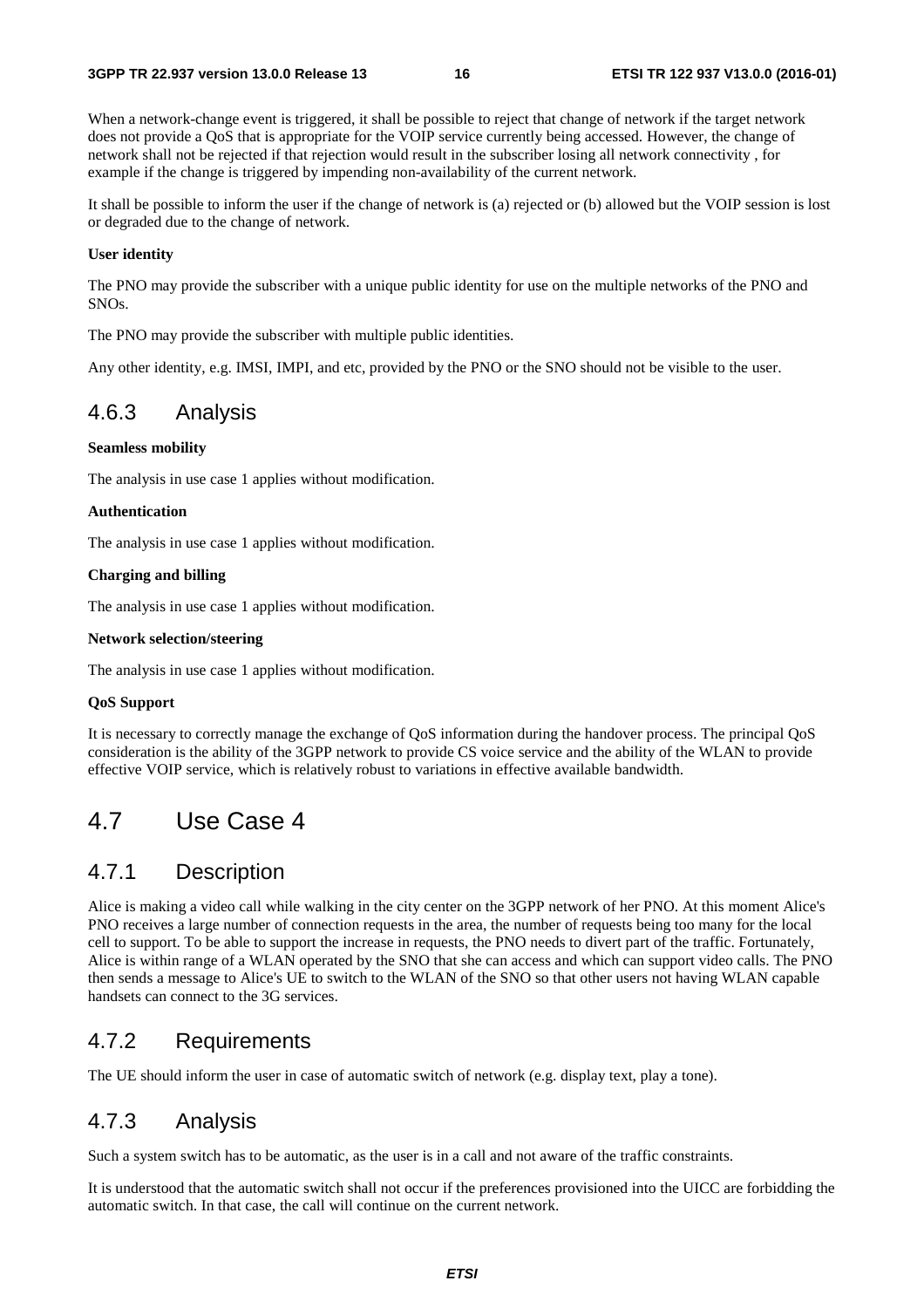When a network-change event is triggered, it shall be possible to reject that change of network if the target network does not provide a QoS that is appropriate for the VOIP service currently being accessed. However, the change of network shall not be rejected if that rejection would result in the subscriber losing all network connectivity , for example if the change is triggered by impending non-availability of the current network.

It shall be possible to inform the user if the change of network is (a) rejected or (b) allowed but the VOIP session is lost or degraded due to the change of network.

#### **User identity**

The PNO may provide the subscriber with a unique public identity for use on the multiple networks of the PNO and SNOs.

The PNO may provide the subscriber with multiple public identities.

Any other identity, e.g. IMSI, IMPI, and etc, provided by the PNO or the SNO should not be visible to the user.

### 4.6.3 Analysis

#### **Seamless mobility**

The analysis in use case 1 applies without modification.

#### **Authentication**

The analysis in use case 1 applies without modification.

#### **Charging and billing**

The analysis in use case 1 applies without modification.

#### **Network selection/steering**

The analysis in use case 1 applies without modification.

#### **QoS Support**

It is necessary to correctly manage the exchange of QoS information during the handover process. The principal QoS consideration is the ability of the 3GPP network to provide CS voice service and the ability of the WLAN to provide effective VOIP service, which is relatively robust to variations in effective available bandwidth.

# 4.7 Use Case 4

### 4.7.1 Description

Alice is making a video call while walking in the city center on the 3GPP network of her PNO. At this moment Alice's PNO receives a large number of connection requests in the area, the number of requests being too many for the local cell to support. To be able to support the increase in requests, the PNO needs to divert part of the traffic. Fortunately, Alice is within range of a WLAN operated by the SNO that she can access and which can support video calls. The PNO then sends a message to Alice's UE to switch to the WLAN of the SNO so that other users not having WLAN capable handsets can connect to the 3G services.

### 4.7.2 Requirements

The UE should inform the user in case of automatic switch of network (e.g. display text, play a tone).

### 4.7.3 Analysis

Such a system switch has to be automatic, as the user is in a call and not aware of the traffic constraints.

It is understood that the automatic switch shall not occur if the preferences provisioned into the UICC are forbidding the automatic switch. In that case, the call will continue on the current network.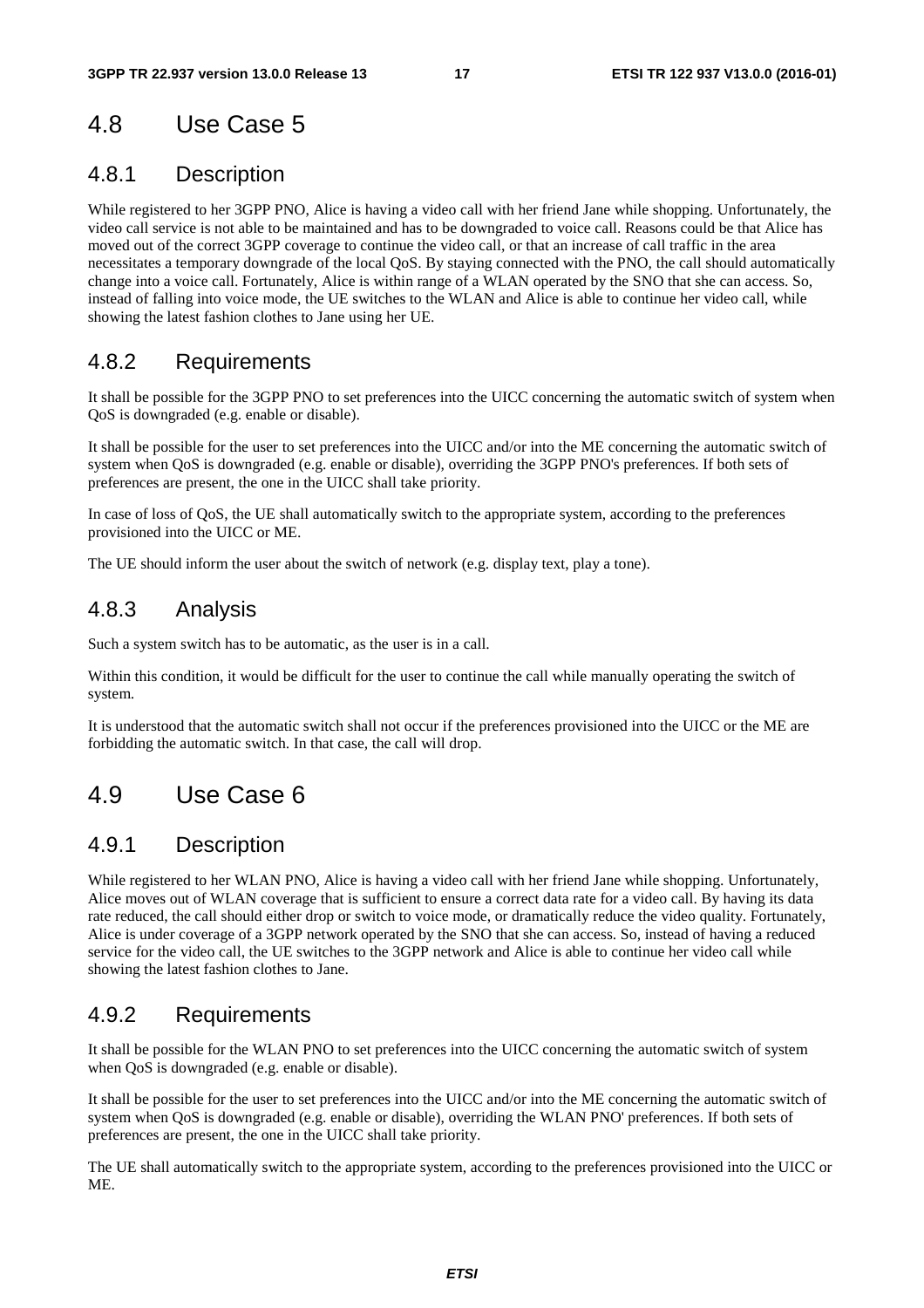# 4.8 Use Case 5

## 4.8.1 Description

While registered to her 3GPP PNO, Alice is having a video call with her friend Jane while shopping. Unfortunately, the video call service is not able to be maintained and has to be downgraded to voice call. Reasons could be that Alice has moved out of the correct 3GPP coverage to continue the video call, or that an increase of call traffic in the area necessitates a temporary downgrade of the local QoS. By staying connected with the PNO, the call should automatically change into a voice call. Fortunately, Alice is within range of a WLAN operated by the SNO that she can access. So, instead of falling into voice mode, the UE switches to the WLAN and Alice is able to continue her video call, while showing the latest fashion clothes to Jane using her UE.

### 4.8.2 Requirements

It shall be possible for the 3GPP PNO to set preferences into the UICC concerning the automatic switch of system when QoS is downgraded (e.g. enable or disable).

It shall be possible for the user to set preferences into the UICC and/or into the ME concerning the automatic switch of system when QoS is downgraded (e.g. enable or disable), overriding the 3GPP PNO's preferences. If both sets of preferences are present, the one in the UICC shall take priority.

In case of loss of QoS, the UE shall automatically switch to the appropriate system, according to the preferences provisioned into the UICC or ME.

The UE should inform the user about the switch of network (e.g. display text, play a tone).

# 4.8.3 Analysis

Such a system switch has to be automatic, as the user is in a call.

Within this condition, it would be difficult for the user to continue the call while manually operating the switch of system.

It is understood that the automatic switch shall not occur if the preferences provisioned into the UICC or the ME are forbidding the automatic switch. In that case, the call will drop.

# 4.9 Use Case 6

### 4.9.1 Description

While registered to her WLAN PNO, Alice is having a video call with her friend Jane while shopping. Unfortunately, Alice moves out of WLAN coverage that is sufficient to ensure a correct data rate for a video call. By having its data rate reduced, the call should either drop or switch to voice mode, or dramatically reduce the video quality. Fortunately, Alice is under coverage of a 3GPP network operated by the SNO that she can access. So, instead of having a reduced service for the video call, the UE switches to the 3GPP network and Alice is able to continue her video call while showing the latest fashion clothes to Jane.

# 4.9.2 Requirements

It shall be possible for the WLAN PNO to set preferences into the UICC concerning the automatic switch of system when QoS is downgraded (e.g. enable or disable).

It shall be possible for the user to set preferences into the UICC and/or into the ME concerning the automatic switch of system when QoS is downgraded (e.g. enable or disable), overriding the WLAN PNO' preferences. If both sets of preferences are present, the one in the UICC shall take priority.

The UE shall automatically switch to the appropriate system, according to the preferences provisioned into the UICC or ME.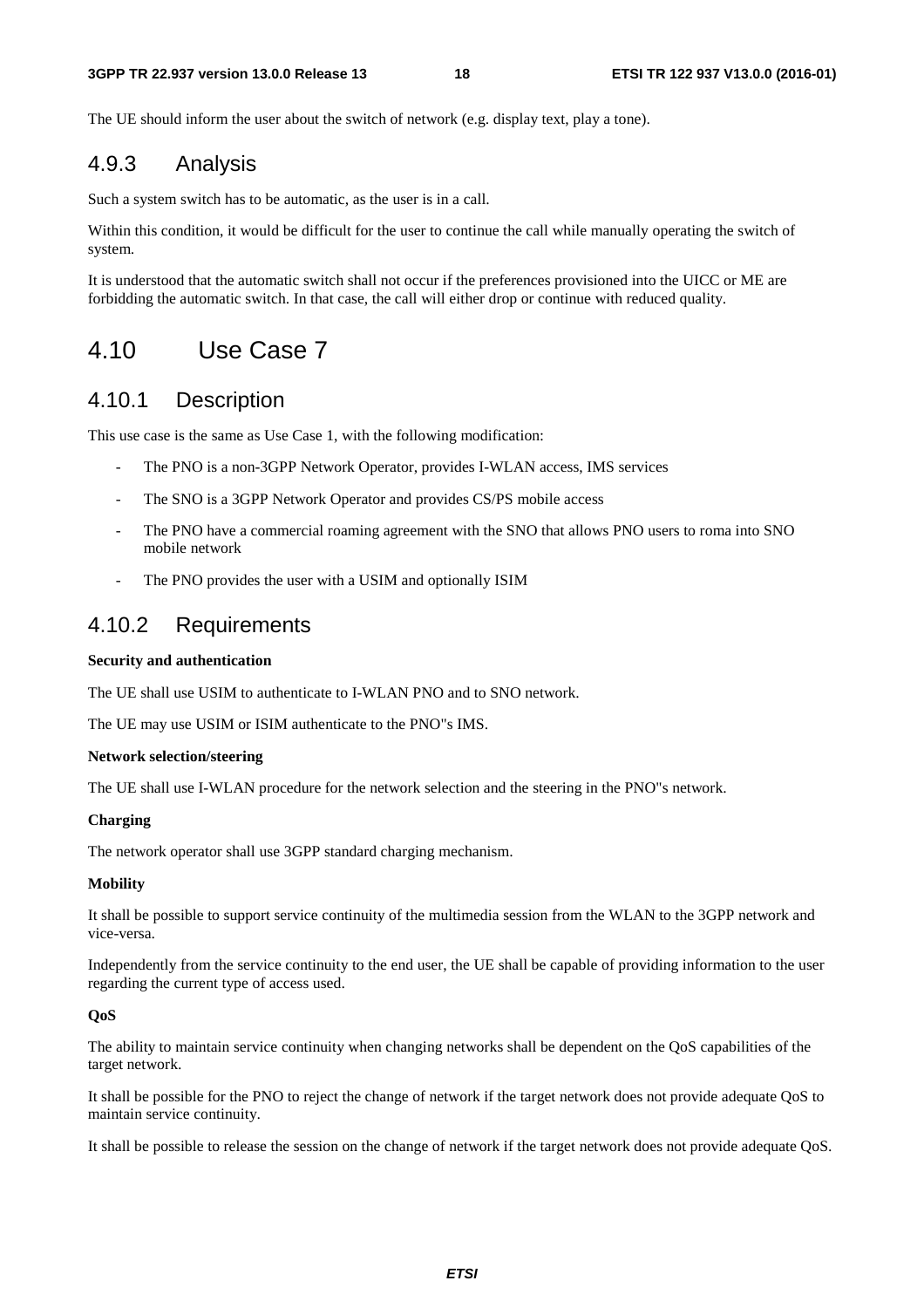The UE should inform the user about the switch of network (e.g. display text, play a tone).

### 4.9.3 Analysis

Such a system switch has to be automatic, as the user is in a call.

Within this condition, it would be difficult for the user to continue the call while manually operating the switch of system.

It is understood that the automatic switch shall not occur if the preferences provisioned into the UICC or ME are forbidding the automatic switch. In that case, the call will either drop or continue with reduced quality.

# 4.10 Use Case 7

### 4.10.1 Description

This use case is the same as Use Case 1, with the following modification:

- The PNO is a non-3GPP Network Operator, provides I-WLAN access, IMS services
- The SNO is a 3GPP Network Operator and provides CS/PS mobile access
- The PNO have a commercial roaming agreement with the SNO that allows PNO users to roma into SNO mobile network
- The PNO provides the user with a USIM and optionally ISIM

### 4.10.2 Requirements

#### **Security and authentication**

The UE shall use USIM to authenticate to I-WLAN PNO and to SNO network.

The UE may use USIM or ISIM authenticate to the PNO"s IMS.

#### **Network selection/steering**

The UE shall use I-WLAN procedure for the network selection and the steering in the PNO"s network.

#### **Charging**

The network operator shall use 3GPP standard charging mechanism.

#### **Mobility**

It shall be possible to support service continuity of the multimedia session from the WLAN to the 3GPP network and vice-versa.

Independently from the service continuity to the end user, the UE shall be capable of providing information to the user regarding the current type of access used.

#### **QoS**

The ability to maintain service continuity when changing networks shall be dependent on the QoS capabilities of the target network.

It shall be possible for the PNO to reject the change of network if the target network does not provide adequate QoS to maintain service continuity.

It shall be possible to release the session on the change of network if the target network does not provide adequate QoS.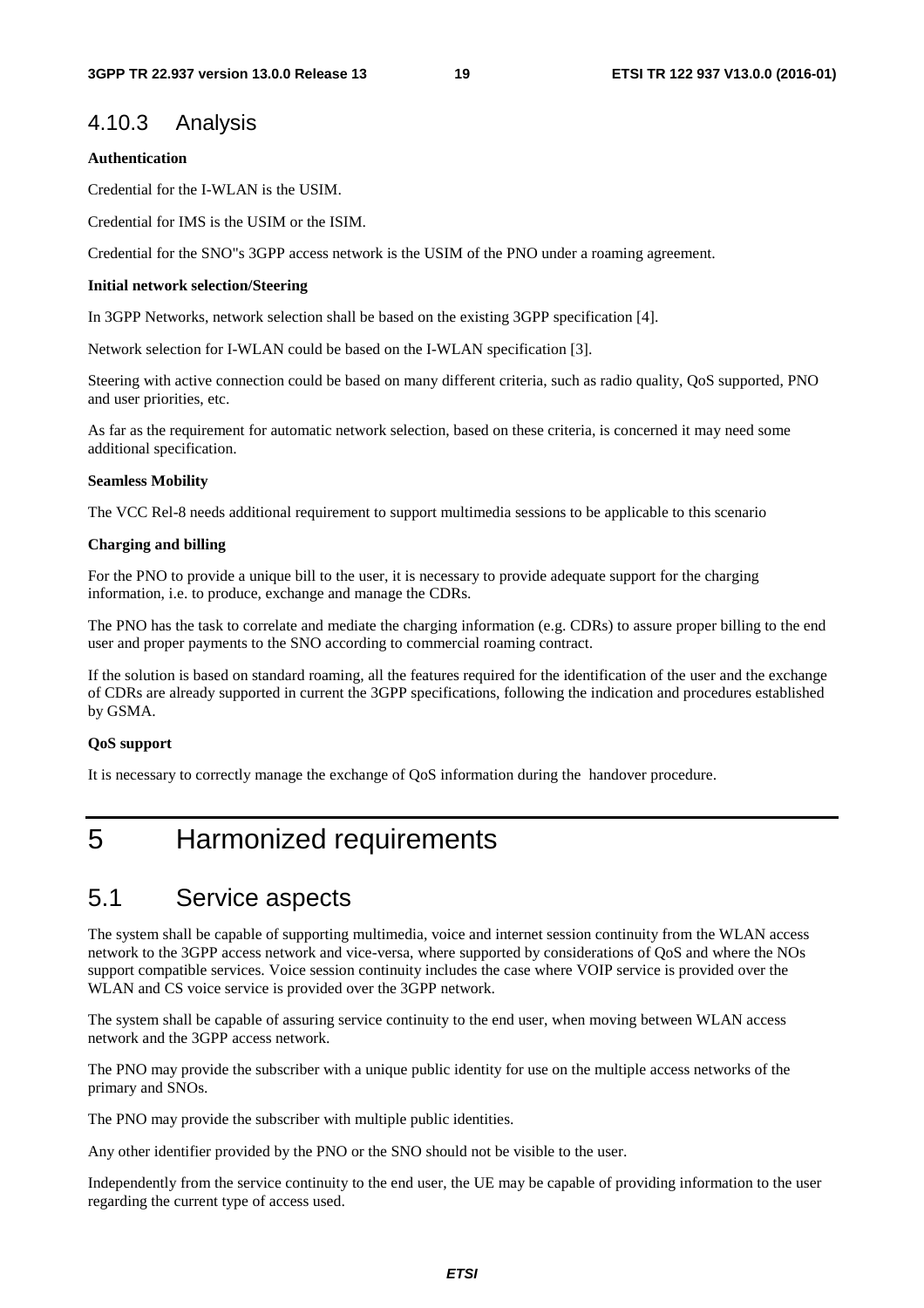### 4.10.3 Analysis

#### **Authentication**

Credential for the I-WLAN is the USIM.

Credential for IMS is the USIM or the ISIM.

Credential for the SNO"s 3GPP access network is the USIM of the PNO under a roaming agreement.

#### **Initial network selection/Steering**

In 3GPP Networks, network selection shall be based on the existing 3GPP specification [4].

Network selection for I-WLAN could be based on the I-WLAN specification [3].

Steering with active connection could be based on many different criteria, such as radio quality, QoS supported, PNO and user priorities, etc.

As far as the requirement for automatic network selection, based on these criteria, is concerned it may need some additional specification.

#### **Seamless Mobility**

The VCC Rel-8 needs additional requirement to support multimedia sessions to be applicable to this scenario

#### **Charging and billing**

For the PNO to provide a unique bill to the user, it is necessary to provide adequate support for the charging information, i.e. to produce, exchange and manage the CDRs.

The PNO has the task to correlate and mediate the charging information (e.g. CDRs) to assure proper billing to the end user and proper payments to the SNO according to commercial roaming contract.

If the solution is based on standard roaming, all the features required for the identification of the user and the exchange of CDRs are already supported in current the 3GPP specifications, following the indication and procedures established by GSMA.

#### **QoS support**

It is necessary to correctly manage the exchange of QoS information during the handover procedure.

# 5 Harmonized requirements

# 5.1 Service aspects

The system shall be capable of supporting multimedia, voice and internet session continuity from the WLAN access network to the 3GPP access network and vice-versa, where supported by considerations of QoS and where the NOs support compatible services. Voice session continuity includes the case where VOIP service is provided over the WLAN and CS voice service is provided over the 3GPP network.

The system shall be capable of assuring service continuity to the end user, when moving between WLAN access network and the 3GPP access network.

The PNO may provide the subscriber with a unique public identity for use on the multiple access networks of the primary and SNOs.

The PNO may provide the subscriber with multiple public identities.

Any other identifier provided by the PNO or the SNO should not be visible to the user.

Independently from the service continuity to the end user, the UE may be capable of providing information to the user regarding the current type of access used.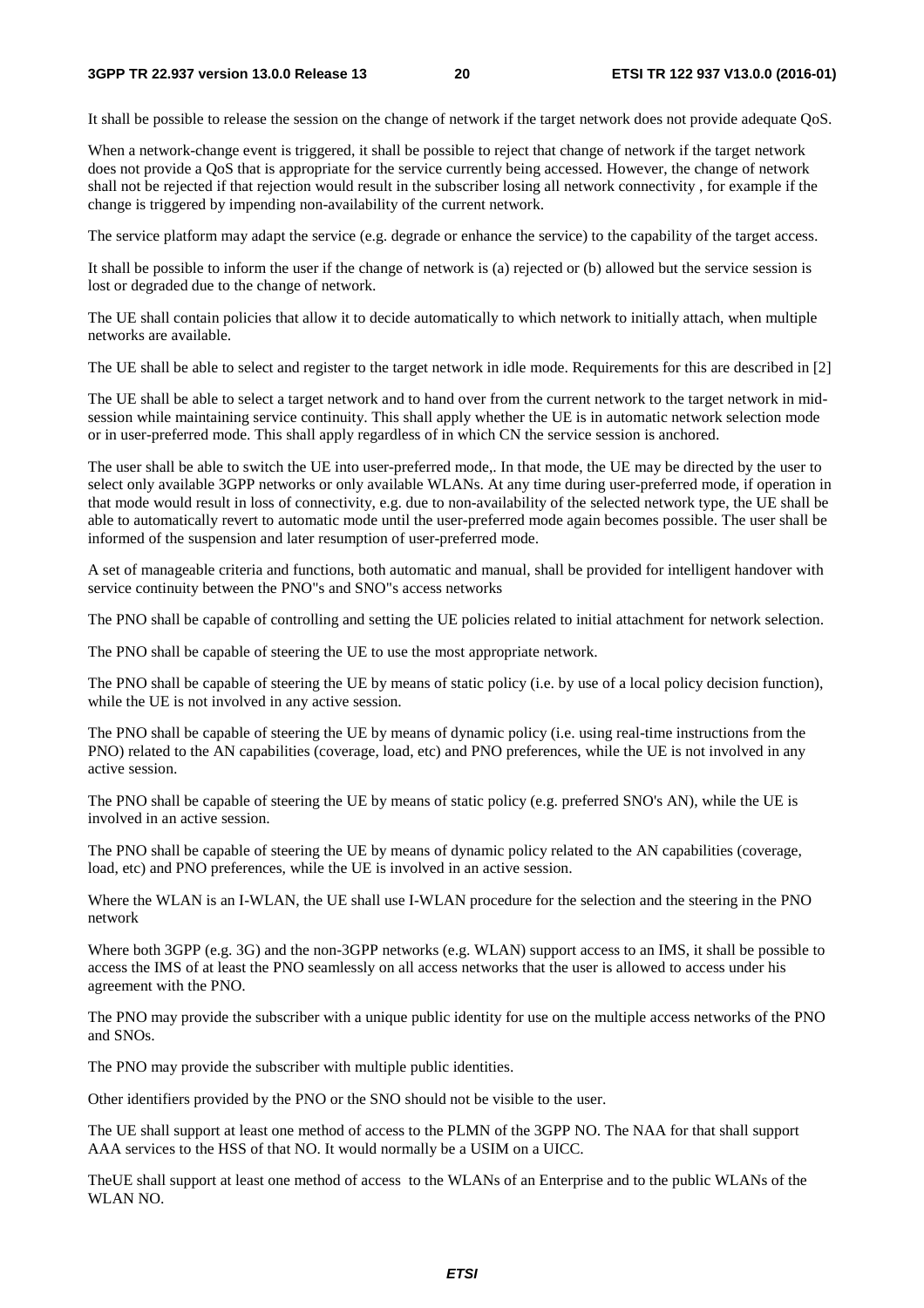It shall be possible to release the session on the change of network if the target network does not provide adequate QoS.

When a network-change event is triggered, it shall be possible to reject that change of network if the target network does not provide a QoS that is appropriate for the service currently being accessed. However, the change of network shall not be rejected if that rejection would result in the subscriber losing all network connectivity , for example if the change is triggered by impending non-availability of the current network.

The service platform may adapt the service (e.g. degrade or enhance the service) to the capability of the target access.

It shall be possible to inform the user if the change of network is (a) rejected or (b) allowed but the service session is lost or degraded due to the change of network.

The UE shall contain policies that allow it to decide automatically to which network to initially attach, when multiple networks are available.

The UE shall be able to select and register to the target network in idle mode. Requirements for this are described in [2]

The UE shall be able to select a target network and to hand over from the current network to the target network in midsession while maintaining service continuity. This shall apply whether the UE is in automatic network selection mode or in user-preferred mode. This shall apply regardless of in which CN the service session is anchored.

The user shall be able to switch the UE into user-preferred mode,. In that mode, the UE may be directed by the user to select only available 3GPP networks or only available WLANs. At any time during user-preferred mode, if operation in that mode would result in loss of connectivity, e.g. due to non-availability of the selected network type, the UE shall be able to automatically revert to automatic mode until the user-preferred mode again becomes possible. The user shall be informed of the suspension and later resumption of user-preferred mode.

A set of manageable criteria and functions, both automatic and manual, shall be provided for intelligent handover with service continuity between the PNO"s and SNO"s access networks

The PNO shall be capable of controlling and setting the UE policies related to initial attachment for network selection.

The PNO shall be capable of steering the UE to use the most appropriate network.

The PNO shall be capable of steering the UE by means of static policy (i.e. by use of a local policy decision function), while the UE is not involved in any active session.

The PNO shall be capable of steering the UE by means of dynamic policy (i.e. using real-time instructions from the PNO) related to the AN capabilities (coverage, load, etc) and PNO preferences, while the UE is not involved in any active session.

The PNO shall be capable of steering the UE by means of static policy (e.g. preferred SNO's AN), while the UE is involved in an active session.

The PNO shall be capable of steering the UE by means of dynamic policy related to the AN capabilities (coverage, load, etc) and PNO preferences, while the UE is involved in an active session.

Where the WLAN is an I-WLAN, the UE shall use I-WLAN procedure for the selection and the steering in the PNO network

Where both 3GPP (e.g. 3G) and the non-3GPP networks (e.g. WLAN) support access to an IMS, it shall be possible to access the IMS of at least the PNO seamlessly on all access networks that the user is allowed to access under his agreement with the PNO.

The PNO may provide the subscriber with a unique public identity for use on the multiple access networks of the PNO and SNOs.

The PNO may provide the subscriber with multiple public identities.

Other identifiers provided by the PNO or the SNO should not be visible to the user.

The UE shall support at least one method of access to the PLMN of the 3GPP NO. The NAA for that shall support AAA services to the HSS of that NO. It would normally be a USIM on a UICC.

TheUE shall support at least one method of access to the WLANs of an Enterprise and to the public WLANs of the WLAN NO.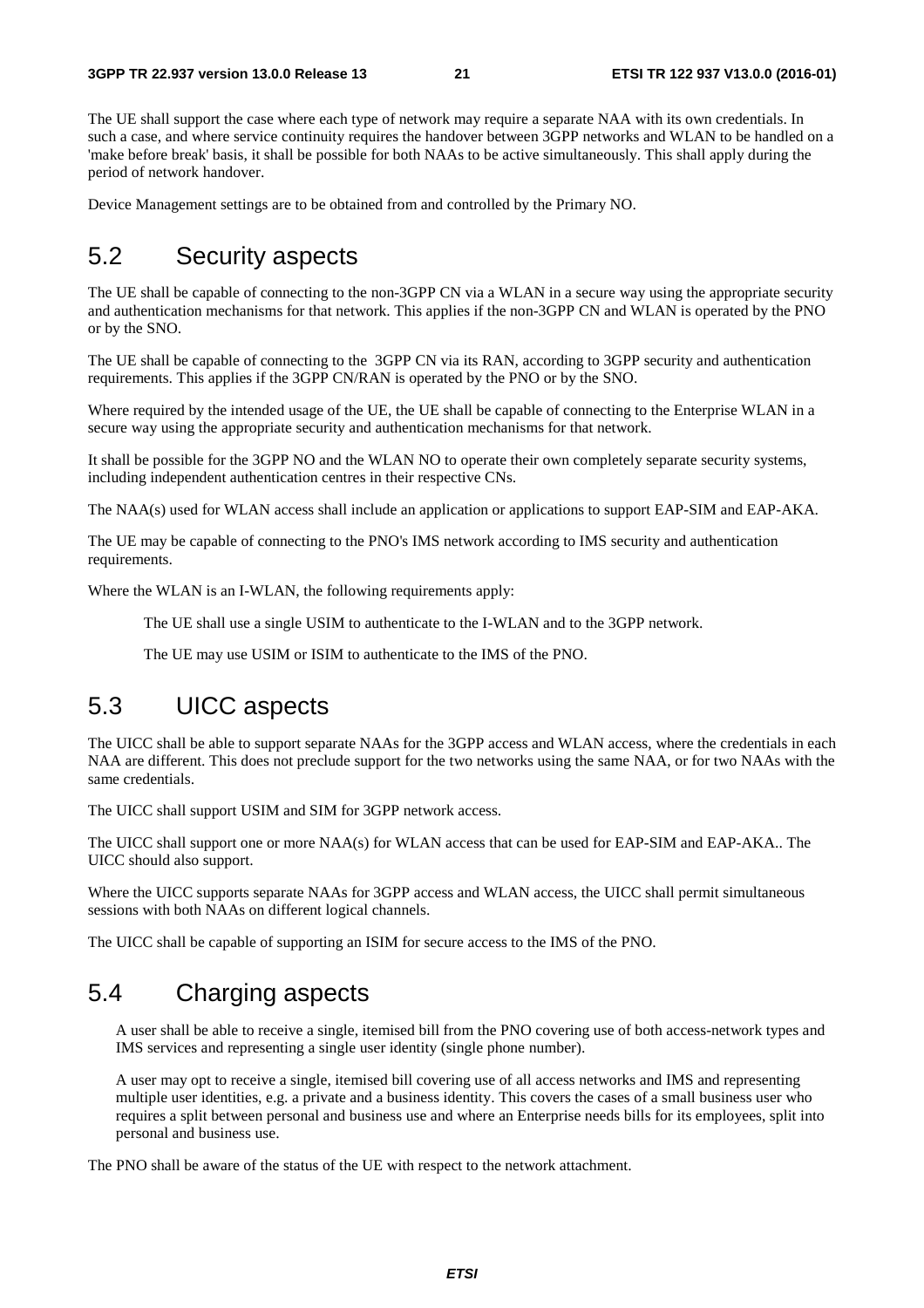The UE shall support the case where each type of network may require a separate NAA with its own credentials. In such a case, and where service continuity requires the handover between 3GPP networks and WLAN to be handled on a 'make before break' basis, it shall be possible for both NAAs to be active simultaneously. This shall apply during the period of network handover.

Device Management settings are to be obtained from and controlled by the Primary NO.

# 5.2 Security aspects

The UE shall be capable of connecting to the non-3GPP CN via a WLAN in a secure way using the appropriate security and authentication mechanisms for that network. This applies if the non-3GPP CN and WLAN is operated by the PNO or by the SNO.

The UE shall be capable of connecting to the 3GPP CN via its RAN, according to 3GPP security and authentication requirements. This applies if the 3GPP CN/RAN is operated by the PNO or by the SNO.

Where required by the intended usage of the UE, the UE shall be capable of connecting to the Enterprise WLAN in a secure way using the appropriate security and authentication mechanisms for that network.

It shall be possible for the 3GPP NO and the WLAN NO to operate their own completely separate security systems, including independent authentication centres in their respective CNs.

The NAA(s) used for WLAN access shall include an application or applications to support EAP-SIM and EAP-AKA.

The UE may be capable of connecting to the PNO's IMS network according to IMS security and authentication requirements.

Where the WLAN is an I-WLAN, the following requirements apply:

The UE shall use a single USIM to authenticate to the I-WLAN and to the 3GPP network.

The UE may use USIM or ISIM to authenticate to the IMS of the PNO.

# 5.3 UICC aspects

The UICC shall be able to support separate NAAs for the 3GPP access and WLAN access, where the credentials in each NAA are different. This does not preclude support for the two networks using the same NAA, or for two NAAs with the same credentials.

The UICC shall support USIM and SIM for 3GPP network access.

The UICC shall support one or more NAA(s) for WLAN access that can be used for EAP-SIM and EAP-AKA.. The UICC should also support.

Where the UICC supports separate NAAs for 3GPP access and WLAN access, the UICC shall permit simultaneous sessions with both NAAs on different logical channels.

The UICC shall be capable of supporting an ISIM for secure access to the IMS of the PNO.

# 5.4 Charging aspects

A user shall be able to receive a single, itemised bill from the PNO covering use of both access-network types and IMS services and representing a single user identity (single phone number).

A user may opt to receive a single, itemised bill covering use of all access networks and IMS and representing multiple user identities, e.g. a private and a business identity. This covers the cases of a small business user who requires a split between personal and business use and where an Enterprise needs bills for its employees, split into personal and business use.

The PNO shall be aware of the status of the UE with respect to the network attachment.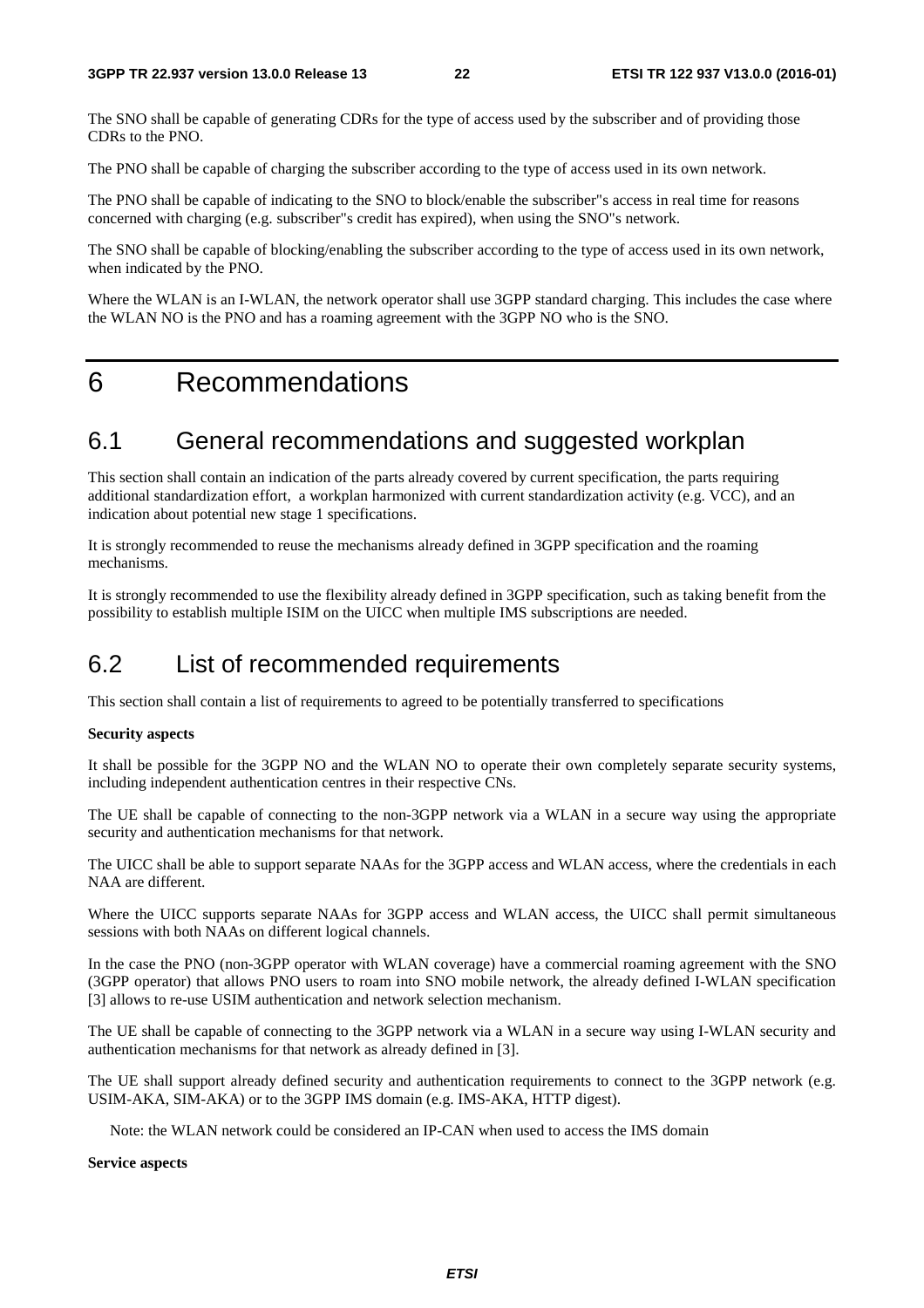The SNO shall be capable of generating CDRs for the type of access used by the subscriber and of providing those CDRs to the PNO.

The PNO shall be capable of charging the subscriber according to the type of access used in its own network.

The PNO shall be capable of indicating to the SNO to block/enable the subscriber"s access in real time for reasons concerned with charging (e.g. subscriber"s credit has expired), when using the SNO"s network.

The SNO shall be capable of blocking/enabling the subscriber according to the type of access used in its own network, when indicated by the PNO.

Where the WLAN is an I-WLAN, the network operator shall use 3GPP standard charging. This includes the case where the WLAN NO is the PNO and has a roaming agreement with the 3GPP NO who is the SNO.

# 6 Recommendations

# 6.1 General recommendations and suggested workplan

This section shall contain an indication of the parts already covered by current specification, the parts requiring additional standardization effort, a workplan harmonized with current standardization activity (e.g. VCC), and an indication about potential new stage 1 specifications.

It is strongly recommended to reuse the mechanisms already defined in 3GPP specification and the roaming mechanisms.

It is strongly recommended to use the flexibility already defined in 3GPP specification, such as taking benefit from the possibility to establish multiple ISIM on the UICC when multiple IMS subscriptions are needed.

# 6.2 List of recommended requirements

This section shall contain a list of requirements to agreed to be potentially transferred to specifications

#### **Security aspects**

It shall be possible for the 3GPP NO and the WLAN NO to operate their own completely separate security systems, including independent authentication centres in their respective CNs.

The UE shall be capable of connecting to the non-3GPP network via a WLAN in a secure way using the appropriate security and authentication mechanisms for that network.

The UICC shall be able to support separate NAAs for the 3GPP access and WLAN access, where the credentials in each NAA are different.

Where the UICC supports separate NAAs for 3GPP access and WLAN access, the UICC shall permit simultaneous sessions with both NAAs on different logical channels.

In the case the PNO (non-3GPP operator with WLAN coverage) have a commercial roaming agreement with the SNO (3GPP operator) that allows PNO users to roam into SNO mobile network, the already defined I-WLAN specification [3] allows to re-use USIM authentication and network selection mechanism.

The UE shall be capable of connecting to the 3GPP network via a WLAN in a secure way using I-WLAN security and authentication mechanisms for that network as already defined in [3].

The UE shall support already defined security and authentication requirements to connect to the 3GPP network (e.g. USIM-AKA, SIM-AKA) or to the 3GPP IMS domain (e.g. IMS-AKA, HTTP digest).

Note: the WLAN network could be considered an IP-CAN when used to access the IMS domain

**Service aspects**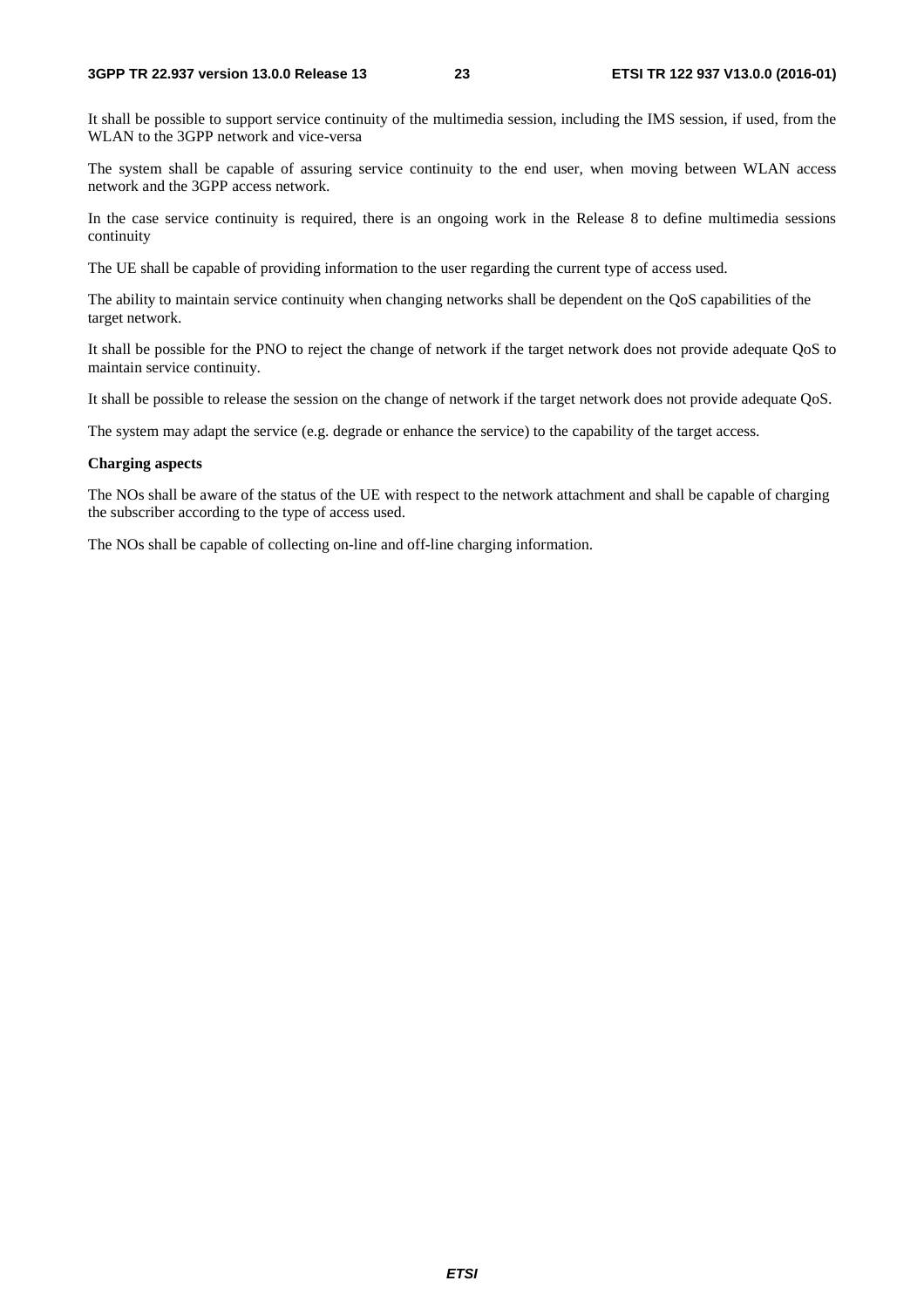#### **3GPP TR 22.937 version 13.0.0 Release 13 23 ETSI TR 122 937 V13.0.0 (2016-01)**

It shall be possible to support service continuity of the multimedia session, including the IMS session, if used, from the WLAN to the 3GPP network and vice-versa

The system shall be capable of assuring service continuity to the end user, when moving between WLAN access network and the 3GPP access network.

In the case service continuity is required, there is an ongoing work in the Release 8 to define multimedia sessions continuity

The UE shall be capable of providing information to the user regarding the current type of access used.

The ability to maintain service continuity when changing networks shall be dependent on the QoS capabilities of the target network.

It shall be possible for the PNO to reject the change of network if the target network does not provide adequate QoS to maintain service continuity.

It shall be possible to release the session on the change of network if the target network does not provide adequate QoS.

The system may adapt the service (e.g. degrade or enhance the service) to the capability of the target access.

#### **Charging aspects**

The NOs shall be aware of the status of the UE with respect to the network attachment and shall be capable of charging the subscriber according to the type of access used.

The NOs shall be capable of collecting on-line and off-line charging information.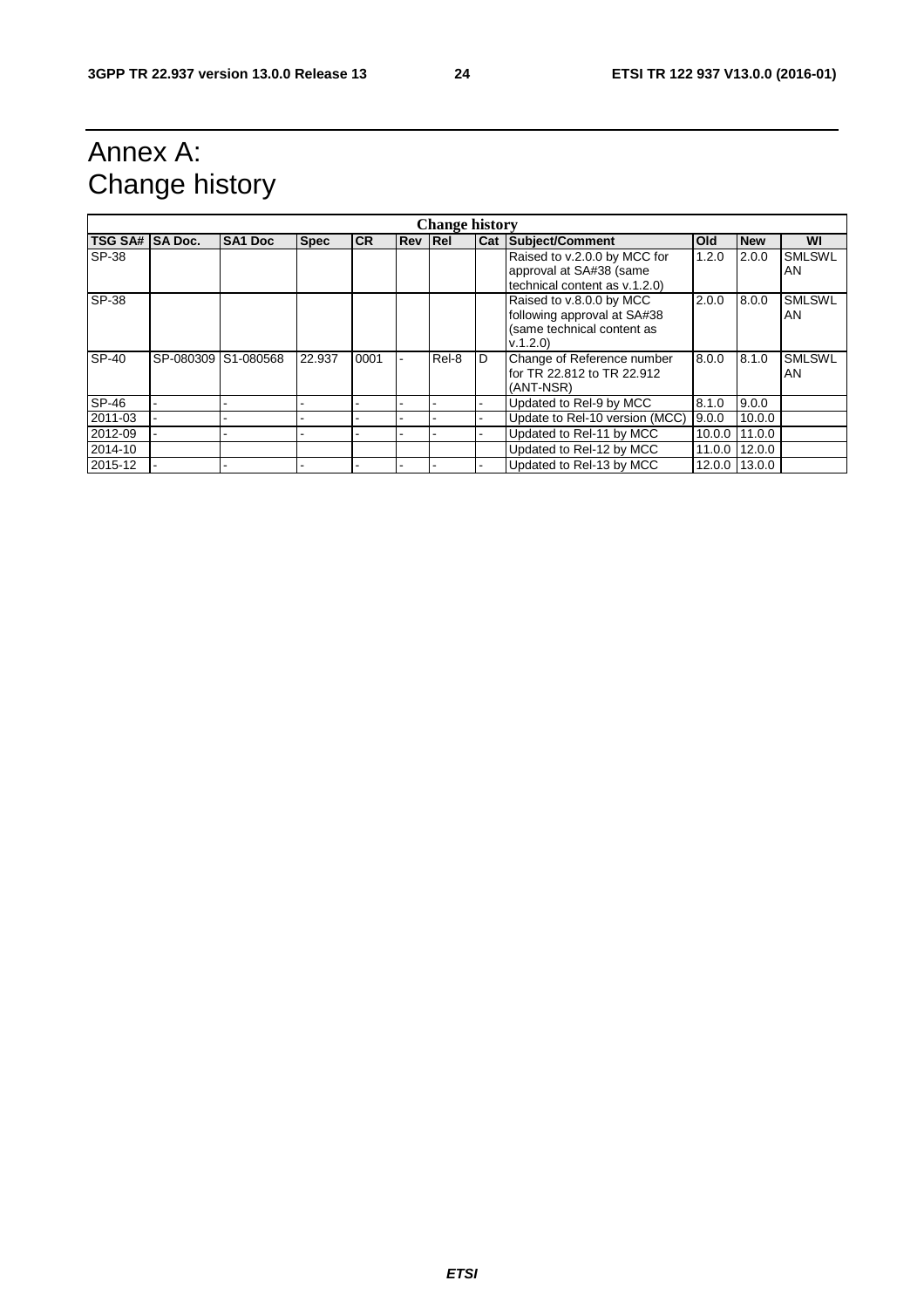# Annex A: Change history

| <b>Change history</b> |           |                |             |           |         |       |   |                                                                                                  |        |               |                      |
|-----------------------|-----------|----------------|-------------|-----------|---------|-------|---|--------------------------------------------------------------------------------------------------|--------|---------------|----------------------|
| TSG SA# SA Doc.       |           | <b>SA1 Doc</b> | <b>Spec</b> | <b>CR</b> | Rev Rel |       |   | <b>Cat Subject/Comment</b>                                                                       | Old    | <b>New</b>    | WI                   |
| SP-38                 |           |                |             |           |         |       |   | Raised to v.2.0.0 by MCC for<br>approval at SA#38 (same<br>technical content as v.1.2.0)         | 1.2.0  | 2.0.0         | <b>SMLSWL</b><br>AN  |
| SP-38                 |           |                |             |           |         |       |   | Raised to v.8.0.0 by MCC<br>following approval at SA#38<br>(same technical content as<br>V.1.2.0 | 2.0.0  | 8.0.0         | <b>SMLSWL</b><br>AN. |
| SP-40                 | SP-080309 | S1-080568      | 22.937      | 0001      |         | Rel-8 | D | Change of Reference number<br>for TR 22.812 to TR 22.912<br>(ANT-NSR)                            | 8.0.0  | 8.1.0         | <b>SMLSWL</b><br>AN. |
| SP-46                 |           |                |             |           |         |       |   | Updated to Rel-9 by MCC                                                                          | 8.1.0  | 9.0.0         |                      |
| 2011-03               |           |                |             |           |         |       |   | Update to Rel-10 version (MCC)                                                                   | 9.0.0  | 10.0.0        |                      |
| 2012-09               |           |                |             |           |         |       |   | Updated to Rel-11 by MCC                                                                         | 10.0.0 | 11.0.0        |                      |
| 2014-10               |           |                |             |           |         |       |   | Updated to Rel-12 by MCC                                                                         | 11.0.0 | 12.0.0        |                      |
| 2015-12               |           |                |             |           |         |       |   | Updated to Rel-13 by MCC                                                                         |        | 12.0.0 13.0.0 |                      |